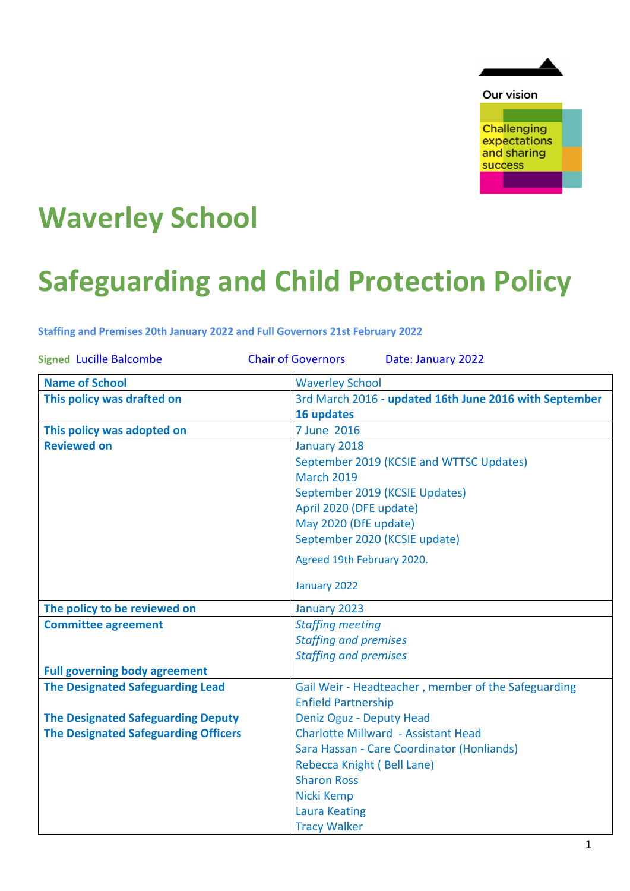

Our vision

**Challenging** expectations and sharing success

# **Waverley School**

# **Safeguarding and Child Protection Policy**

**Staffing and Premises 20th January 2022 and Full Governors 21st February 2022**

| <b>Signed Lucille Balcombe</b>              | <b>Chair of Governors</b><br>Date: January 2022        |
|---------------------------------------------|--------------------------------------------------------|
| <b>Name of School</b>                       | <b>Waverley School</b>                                 |
| This policy was drafted on                  | 3rd March 2016 - updated 16th June 2016 with September |
|                                             | 16 updates                                             |
| This policy was adopted on                  | 7 June 2016                                            |
| <b>Reviewed on</b>                          | January 2018                                           |
|                                             | September 2019 (KCSIE and WTTSC Updates)               |
|                                             | <b>March 2019</b>                                      |
|                                             | September 2019 (KCSIE Updates)                         |
|                                             | April 2020 (DFE update)                                |
|                                             | May 2020 (DfE update)                                  |
|                                             | September 2020 (KCSIE update)                          |
|                                             | Agreed 19th February 2020.                             |
|                                             | January 2022                                           |
| The policy to be reviewed on                | January 2023                                           |
| <b>Committee agreement</b>                  | <b>Staffing meeting</b>                                |
|                                             | <b>Staffing and premises</b>                           |
|                                             | <b>Staffing and premises</b>                           |
| <b>Full governing body agreement</b>        |                                                        |
| <b>The Designated Safeguarding Lead</b>     | Gail Weir - Headteacher, member of the Safeguarding    |
|                                             | <b>Enfield Partnership</b>                             |
| <b>The Designated Safeguarding Deputy</b>   | Deniz Oguz - Deputy Head                               |
| <b>The Designated Safeguarding Officers</b> | <b>Charlotte Millward - Assistant Head</b>             |
|                                             | Sara Hassan - Care Coordinator (Honliands)             |
|                                             | Rebecca Knight (Bell Lane)                             |
|                                             | <b>Sharon Ross</b>                                     |
|                                             | Nicki Kemp                                             |
|                                             | <b>Laura Keating</b>                                   |
|                                             | <b>Tracy Walker</b>                                    |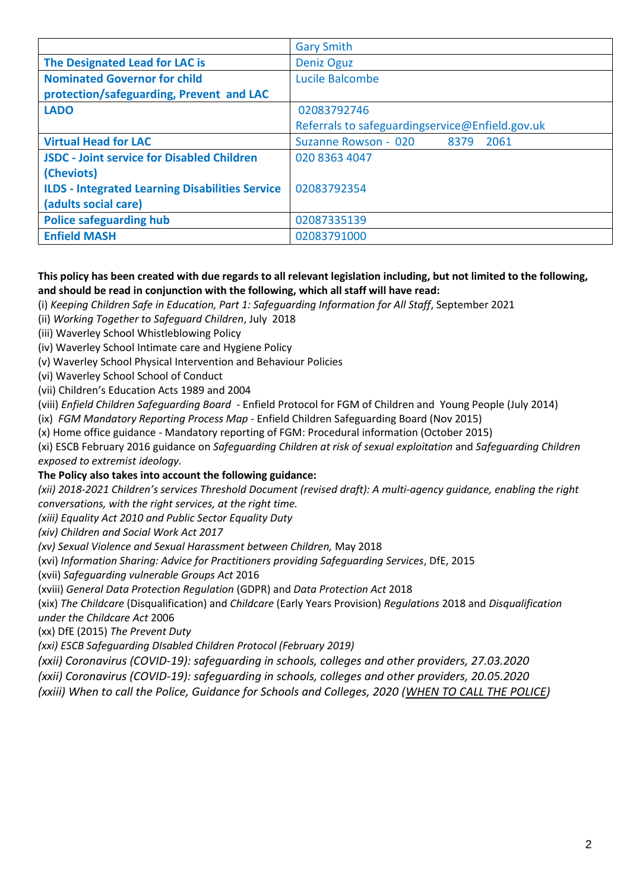|                                                        | <b>Gary Smith</b>                               |
|--------------------------------------------------------|-------------------------------------------------|
| The Designated Lead for LAC is                         | <b>Deniz Oguz</b>                               |
| <b>Nominated Governor for child</b>                    | Lucile Balcombe                                 |
| protection/safeguarding, Prevent and LAC               |                                                 |
| <b>LADO</b>                                            | 02083792746                                     |
|                                                        | Referrals to safeguardingservice@Enfield.gov.uk |
| <b>Virtual Head for LAC</b>                            | Suzanne Rowson - 020<br>8379<br>2061            |
| <b>JSDC - Joint service for Disabled Children</b>      | 020 8363 4047                                   |
| (Cheviots)                                             |                                                 |
| <b>ILDS - Integrated Learning Disabilities Service</b> | 02083792354                                     |
| (adults social care)                                   |                                                 |
| <b>Police safeguarding hub</b>                         | 02087335139                                     |
| <b>Enfield MASH</b>                                    | 02083791000                                     |

#### **This policy has been created with due regards to all relevant legislation including, but not limited to the following, and should be read in conjunction with the following, which all staff will have read:**

(i) *Keeping Children Safe in Education, Part 1: Safeguarding Information for All Staff*, September 2021

(ii) *Working Together to Safeguard Children*, July 2018

(iii) Waverley School Whistleblowing Policy

(iv) Waverley School Intimate care and Hygiene Policy

(v) Waverley School Physical Intervention and Behaviour Policies

(vi) Waverley School School of Conduct

(vii) Children's Education Acts 1989 and 2004

(viii) *Enfield Children Safeguarding Board* - Enfield Protocol for FGM of Children and Young People (July 2014)

(ix) *FGM Mandatory Reporting Process Map* - Enfield Children Safeguarding Board (Nov 2015)

(x) Home office guidance - Mandatory reporting of FGM: Procedural information (October 2015)

(xi) ESCB February 2016 guidance on *Safeguarding Children at risk of sexual exploitation* and *Safeguarding Children exposed to extremist ideology.* 

#### **The Policy also takes into account the following guidance:**

*(xii) 2018-2021 Children's services Threshold Document (revised draft): A multi-agency guidance, enabling the right conversations, with the right services, at the right time.*

*(xiii) Equality Act 2010 and Public Sector Equality Duty*

*(xiv) Children and Social Work Act 2017*

*(xv) Sexual Violence and Sexual Harassment between Children,* May 2018

(xvi) *Information Sharing: Advice for Practitioners providing Safeguarding Services*, DfE, 2015

(xvii) *Safeguarding vulnerable Groups Act* 2016

(xviii) *General Data Protection Regulation* (GDPR) and *Data Protection Act* 2018

(xix) *The Childcare* (Disqualification) and *Childcare* (Early Years Provision) *Regulations* 2018 and *Disqualification under the Childcare Act* 2006

(xx) DfE (2015) *The Prevent Duty*

*(xxi) ESCB Safeguarding DIsabled Children Protocol (February 2019)*

*(xxii) Coronavirus (COVID-19): safeguarding in schools, colleges and other providers, 27.03.2020*

*(xxii) Coronavirus (COVID-19): safeguarding in schools, colleges and other providers, 20.05.2020*

*(xxiii) When to call the Police, Guidance for Schools and Colleges, 2020 [\(WHEN TO CALL THE POLICE\)](https://www.npcc.police.uk/documents/Children%20and%20Young%20people/When%20to%20call%20police%20guidance%20for%20schools%20and%20colleges.pdf)*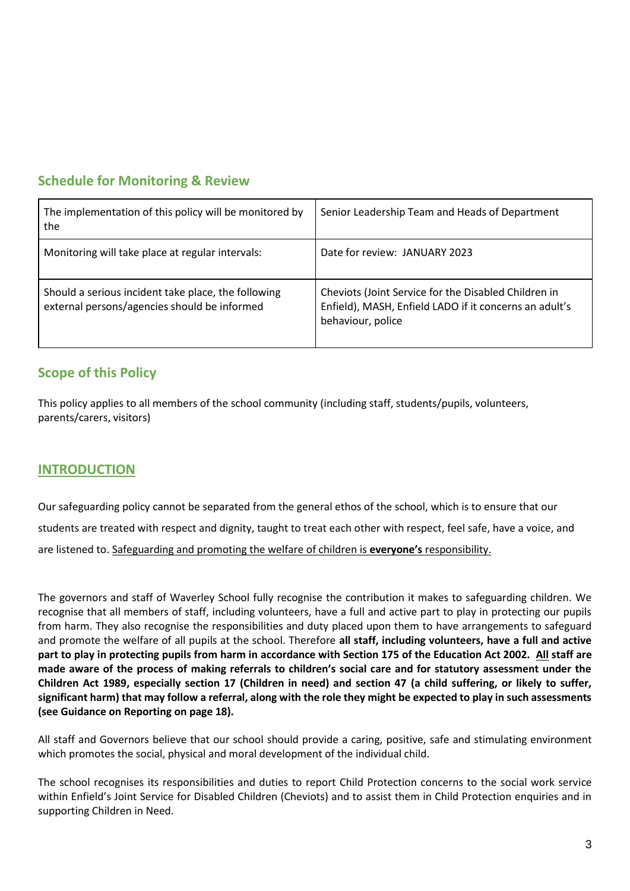# **Schedule for Monitoring & Review**

| The implementation of this policy will be monitored by<br>the                                       | Senior Leadership Team and Heads of Department                                                                                      |
|-----------------------------------------------------------------------------------------------------|-------------------------------------------------------------------------------------------------------------------------------------|
| Monitoring will take place at regular intervals:                                                    | Date for review: JANUARY 2023                                                                                                       |
| Should a serious incident take place, the following<br>external persons/agencies should be informed | Cheviots (Joint Service for the Disabled Children in<br>Enfield), MASH, Enfield LADO if it concerns an adult's<br>behaviour, police |

# **Scope of this Policy**

This policy applies to all members of the school community (including staff, students/pupils, volunteers, parents/carers, visitors)

#### **INTRODUCTION**

Our safeguarding policy cannot be separated from the general ethos of the school, which is to ensure that our students are treated with respect and dignity, taught to treat each other with respect, feel safe, have a voice, and are listened to. Safeguarding and promoting the welfare of children is **everyone's** responsibility.

The governors and staff of Waverley School fully recognise the contribution it makes to safeguarding children. We recognise that all members of staff, including volunteers, have a full and active part to play in protecting our pupils from harm. They also recognise the responsibilities and duty placed upon them to have arrangements to safeguard and promote the welfare of all pupils at the school. Therefore **all staff, including volunteers, have a full and active part to play in protecting pupils from harm in accordance with Section 175 of the Education Act 2002. All staff are made aware of the process of making referrals to children's social care and for statutory assessment under the Children Act 1989, especially section 17 (Children in need) and section 47 (a child suffering, or likely to suffer, significant harm) that may follow a referral, along with the role they might be expected to play in such assessments (see Guidance on Reporting on page 18).**

All staff and Governors believe that our school should provide a caring, positive, safe and stimulating environment which promotes the social, physical and moral development of the individual child.

The school recognises its responsibilities and duties to report Child Protection concerns to the social work service within Enfield's Joint Service for Disabled Children (Cheviots) and to assist them in Child Protection enquiries and in supporting Children in Need.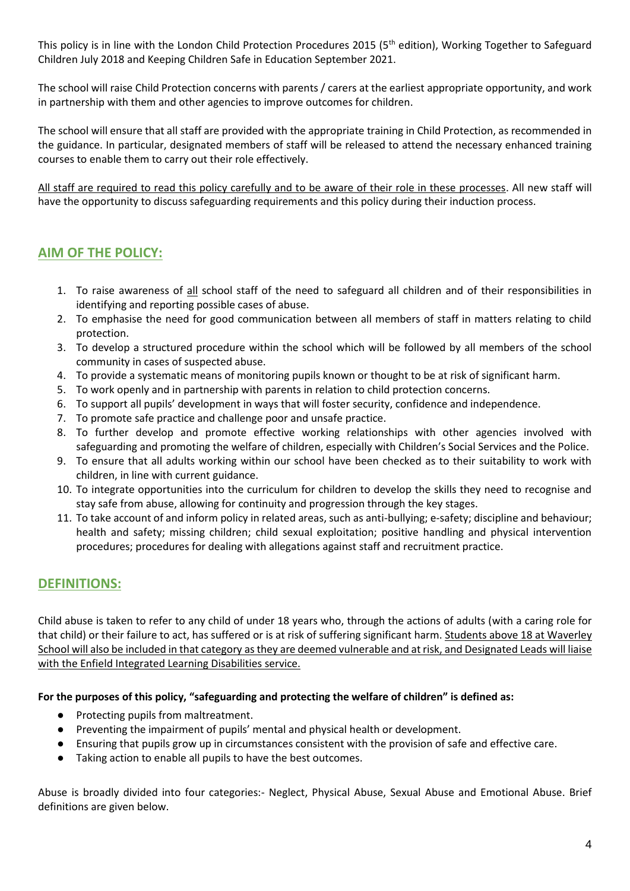This policy is in line with the London Child Protection Procedures 2015 (5<sup>th</sup> edition), Working Together to Safeguard Children July 2018 and Keeping Children Safe in Education September 2021.

The school will raise Child Protection concerns with parents / carers at the earliest appropriate opportunity, and work in partnership with them and other agencies to improve outcomes for children.

The school will ensure that all staff are provided with the appropriate training in Child Protection, as recommended in the guidance. In particular, designated members of staff will be released to attend the necessary enhanced training courses to enable them to carry out their role effectively.

All staff are required to read this policy carefully and to be aware of their role in these processes. All new staff will have the opportunity to discuss safeguarding requirements and this policy during their induction process.

# **AIM OF THE POLICY:**

- 1. To raise awareness of all school staff of the need to safeguard all children and of their responsibilities in identifying and reporting possible cases of abuse.
- 2. To emphasise the need for good communication between all members of staff in matters relating to child protection.
- 3. To develop a structured procedure within the school which will be followed by all members of the school community in cases of suspected abuse.
- 4. To provide a systematic means of monitoring pupils known or thought to be at risk of significant harm.
- 5. To work openly and in partnership with parents in relation to child protection concerns.
- 6. To support all pupils' development in ways that will foster security, confidence and independence.
- 7. To promote safe practice and challenge poor and unsafe practice.
- 8. To further develop and promote effective working relationships with other agencies involved with safeguarding and promoting the welfare of children, especially with Children's Social Services and the Police.
- 9. To ensure that all adults working within our school have been checked as to their suitability to work with children, in line with current guidance.
- 10. To integrate opportunities into the curriculum for children to develop the skills they need to recognise and stay safe from abuse, allowing for continuity and progression through the key stages.
- 11. To take account of and inform policy in related areas, such as anti-bullying; e-safety; discipline and behaviour; health and safety; missing children; child sexual exploitation; positive handling and physical intervention procedures; procedures for dealing with allegations against staff and recruitment practice.

# **DEFINITIONS:**

Child abuse is taken to refer to any child of under 18 years who, through the actions of adults (with a caring role for that child) or their failure to act, has suffered or is at risk of suffering significant harm. Students above 18 at Waverley School will also be included in that category as they are deemed vulnerable and at risk, and Designated Leads will liaise with the Enfield Integrated Learning Disabilities service.

#### **For the purposes of this policy, "safeguarding and protecting the welfare of children" is defined as:**

- Protecting pupils from maltreatment.
- Preventing the impairment of pupils' mental and physical health or development.
- Ensuring that pupils grow up in circumstances consistent with the provision of safe and effective care.
- Taking action to enable all pupils to have the best outcomes.

Abuse is broadly divided into four categories:- Neglect, Physical Abuse, Sexual Abuse and Emotional Abuse. Brief definitions are given below.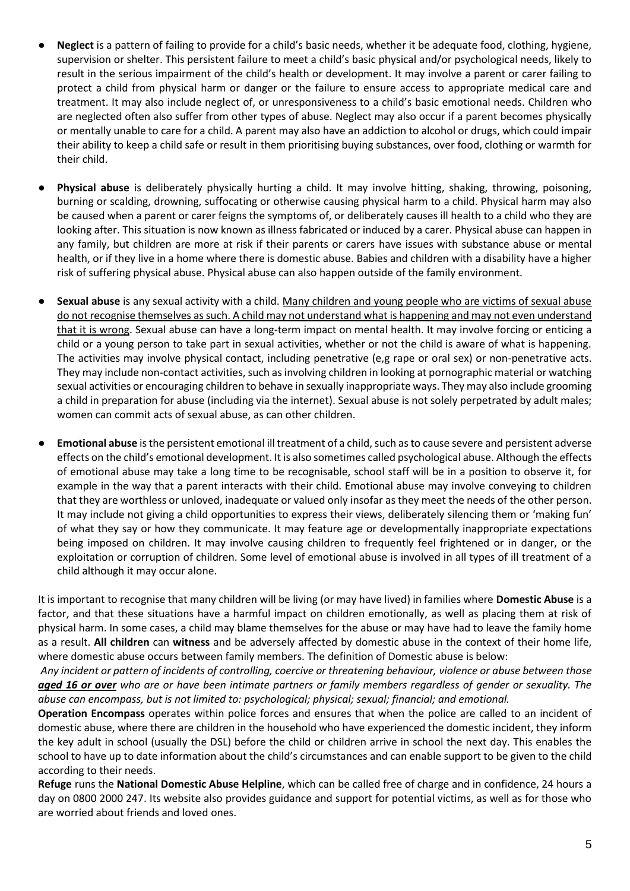- Neglect is a pattern of failing to provide for a child's basic needs, whether it be adequate food, clothing, hygiene, supervision or shelter. This persistent failure to meet a child's basic physical and/or psychological needs, likely to result in the serious impairment of the child's health or development. It may involve a parent or carer failing to protect a child from physical harm or danger or the failure to ensure access to appropriate medical care and treatment. It may also include neglect of, or unresponsiveness to a child's basic emotional needs. Children who are neglected often also suffer from other types of abuse. Neglect may also occur if a parent becomes physically or mentally unable to care for a child. A parent may also have an addiction to alcohol or drugs, which could impair their ability to keep a child safe or result in them prioritising buying substances, over food, clothing or warmth for their child.
- **Physical abuse** is deliberately physically hurting a child. It may involve hitting, shaking, throwing, poisoning, burning or scalding, drowning, suffocating or otherwise causing physical harm to a child. Physical harm may also be caused when a parent or carer feigns the symptoms of, or deliberately causes ill health to a child who they are looking after. This situation is now known as illness fabricated or induced by a carer. Physical abuse can happen in any family, but children are more at risk if their parents or carers have issues with substance abuse or mental health, or if they live in a home where there is domestic abuse. Babies and children with a disability have a higher risk of suffering physical abuse. Physical abuse can also happen outside of the family environment.
- Sexual abuse is any sexual activity with a child. Many children and young people who are victims of sexual abuse do not recognise themselves as such. A child may not understand what is happening and may not even understand that it is wrong. Sexual abuse can have a long-term impact on mental health. It may involve forcing or enticing a child or a young person to take part in sexual activities, whether or not the child is aware of what is happening. The activities may involve physical contact, including penetrative (e,g rape or oral sex) or non-penetrative acts. They may include non-contact activities, such as involving children in looking at pornographic material or watching sexual activities or encouraging children to behave in sexually inappropriate ways. They may also include grooming a child in preparation for abuse (including via the internet). Sexual abuse is not solely perpetrated by adult males; women can commit acts of sexual abuse, as can other children.
- **Emotional abuse** is the persistent emotional ill treatment of a child, such as to cause severe and persistent adverse effects on the child's emotional development. It is also sometimes called psychological abuse. Although the effects of emotional abuse may take a long time to be recognisable, school staff will be in a position to observe it, for example in the way that a parent interacts with their child. Emotional abuse may involve conveying to children that they are worthless or unloved, inadequate or valued only insofar as they meet the needs of the other person. It may include not giving a child opportunities to express their views, deliberately silencing them or 'making fun' of what they say or how they communicate. It may feature age or developmentally inappropriate expectations being imposed on children. It may involve causing children to frequently feel frightened or in danger, or the exploitation or corruption of children. Some level of emotional abuse is involved in all types of ill treatment of a child although it may occur alone.

It is important to recognise that many children will be living (or may have lived) in families where **Domestic Abuse** is a factor, and that these situations have a harmful impact on children emotionally, as well as placing them at risk of physical harm. In some cases, a child may blame themselves for the abuse or may have had to leave the family home as a result. **All children** can **witness** and be adversely affected by domestic abuse in the context of their home life, where domestic abuse occurs between family members. The definition of Domestic abuse is below:

*Any incident or pattern of incidents of controlling, coercive or threatening behaviour, violence or abuse between those aged 16 or over who are or have been intimate partners or family members regardless of gender or sexuality. The abuse can encompass, but is not limited to: psychological; physical; sexual; financial; and emotional.*

**Operation Encompass** operates within police forces and ensures that when the police are called to an incident of domestic abuse, where there are children in the household who have experienced the domestic incident, they inform the key adult in school (usually the DSL) before the child or children arrive in school the next day. This enables the school to have up to date information about the child's circumstances and can enable support to be given to the child according to their needs.

**Refuge** runs the **National Domestic Abuse Helpline**, which can be called free of charge and in confidence, 24 hours a day on 0800 2000 247. Its website also provides guidance and support for potential victims, as well as for those who are worried about friends and loved ones.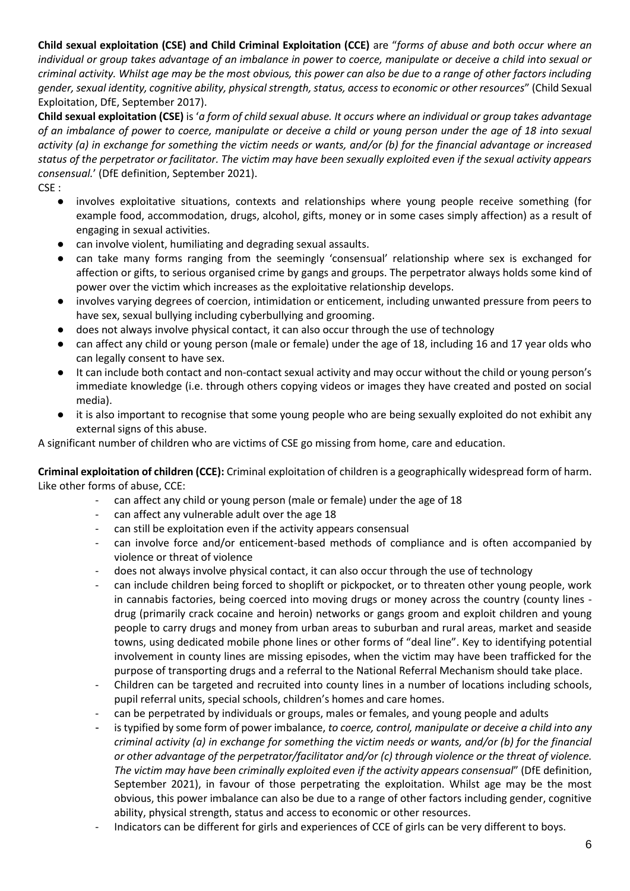**Child sexual exploitation (CSE) and Child Criminal Exploitation (CCE)** are "*forms of abuse and both occur where an individual or group takes advantage of an imbalance in power to coerce, manipulate or deceive a child into sexual or criminal activity. Whilst age may be the most obvious, this power can also be due to a range of other factors including gender, sexual identity, cognitive ability, physical strength, status, access to economic or other resources*" (Child Sexual Exploitation, DfE, September 2017).

**Child sexual exploitation (CSE)** is '*a form of child sexual abuse. It occurs where an individual or group takes advantage of an imbalance of power to coerce, manipulate or deceive a child or young person under the age of 18 into sexual activity (a) in exchange for something the victim needs or wants, and/or (b) for the financial advantage or increased status of the perpetrator or facilitator. The victim may have been sexually exploited even if the sexual activity appears consensual.*' (DfE definition, September 2021).

- CSE :
	- involves exploitative situations, contexts and relationships where young people receive something (for example food, accommodation, drugs, alcohol, gifts, money or in some cases simply affection) as a result of engaging in sexual activities.
	- can involve violent, humiliating and degrading sexual assaults.
	- can take many forms ranging from the seemingly 'consensual' relationship where sex is exchanged for affection or gifts, to serious organised crime by gangs and groups. The perpetrator always holds some kind of power over the victim which increases as the exploitative relationship develops.
	- involves varying degrees of coercion, intimidation or enticement, including unwanted pressure from peers to have sex, sexual bullying including cyberbullying and grooming.
	- does not always involve physical contact, it can also occur through the use of technology
	- can affect any child or young person (male or female) under the age of 18, including 16 and 17 year olds who can legally consent to have sex.
	- It can include both contact and non-contact sexual activity and may occur without the child or young person's immediate knowledge (i.e. through others copying videos or images they have created and posted on social media).
	- it is also important to recognise that some young people who are being sexually exploited do not exhibit any external signs of this abuse.

A significant number of children who are victims of CSE go missing from home, care and education.

**Criminal exploitation of children (CCE):** Criminal exploitation of children is a geographically widespread form of harm. Like other forms of abuse, CCE:

- can affect any child or young person (male or female) under the age of 18
- can affect any vulnerable adult over the age 18
- can still be exploitation even if the activity appears consensual
- can involve force and/or enticement-based methods of compliance and is often accompanied by violence or threat of violence
- does not always involve physical contact, it can also occur through the use of technology
- can include children being forced to shoplift or pickpocket, or to threaten other young people, work in cannabis factories, being coerced into moving drugs or money across the country (county lines drug (primarily crack cocaine and heroin) networks or gangs groom and exploit children and young people to carry drugs and money from urban areas to suburban and rural areas, market and seaside towns, using dedicated mobile phone lines or other forms of "deal line". Key to identifying potential involvement in county lines are missing episodes, when the victim may have been trafficked for the purpose of transporting drugs and a referral to the National Referral Mechanism should take place.
- Children can be targeted and recruited into county lines in a number of locations including schools, pupil referral units, special schools, children's homes and care homes.
- can be perpetrated by individuals or groups, males or females, and young people and adults
- is typified by some form of power imbalance, *to coerce, control, manipulate or deceive a child into any criminal activity (a) in exchange for something the victim needs or wants, and/or (b) for the financial or other advantage of the perpetrator/facilitator and/or (c) through violence or the threat of violence. The victim may have been criminally exploited even if the activity appears consensual*" (DfE definition, September 2021), in favour of those perpetrating the exploitation. Whilst age may be the most obvious, this power imbalance can also be due to a range of other factors including gender, cognitive ability, physical strength, status and access to economic or other resources.
- Indicators can be different for girls and experiences of CCE of girls can be very different to boys.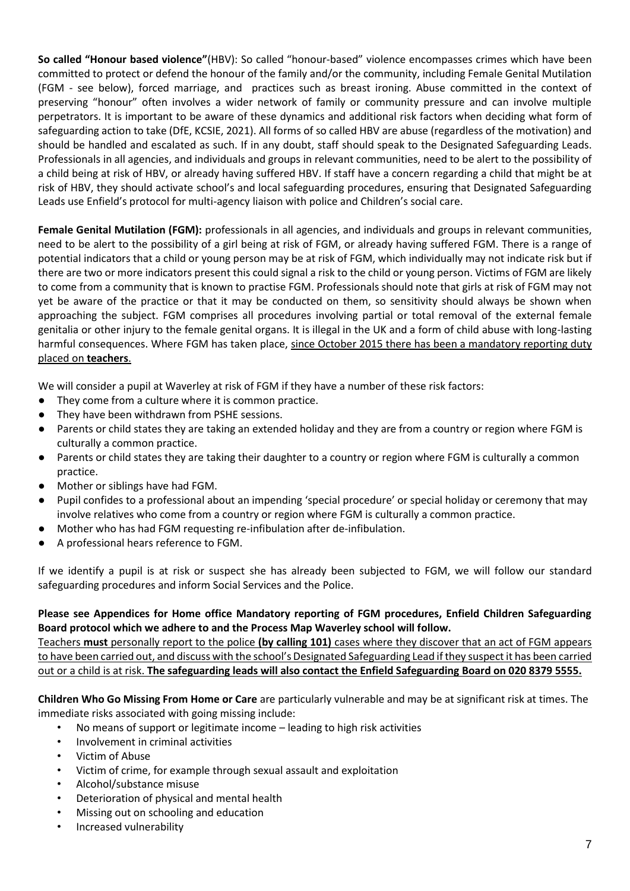**So called "Honour based violence"**(HBV): So called "honour-based" violence encompasses crimes which have been committed to protect or defend the honour of the family and/or the community, including Female Genital Mutilation (FGM - see below), forced marriage, and practices such as breast ironing. Abuse committed in the context of preserving "honour" often involves a wider network of family or community pressure and can involve multiple perpetrators. It is important to be aware of these dynamics and additional risk factors when deciding what form of safeguarding action to take (DfE, KCSIE, 2021). All forms of so called HBV are abuse (regardless of the motivation) and should be handled and escalated as such. If in any doubt, staff should speak to the Designated Safeguarding Leads. Professionals in all agencies, and individuals and groups in relevant communities, need to be alert to the possibility of a child being at risk of HBV, or already having suffered HBV. If staff have a concern regarding a child that might be at risk of HBV, they should activate school's and local safeguarding procedures, ensuring that Designated Safeguarding Leads use Enfield's protocol for multi-agency liaison with police and Children's social care.

**Female Genital Mutilation (FGM):** professionals in all agencies, and individuals and groups in relevant communities, need to be alert to the possibility of a girl being at risk of FGM, or already having suffered FGM. There is a range of potential indicators that a child or young person may be at risk of FGM, which individually may not indicate risk but if there are two or more indicators present this could signal a risk to the child or young person. Victims of FGM are likely to come from a community that is known to practise FGM. Professionals should note that girls at risk of FGM may not yet be aware of the practice or that it may be conducted on them, so sensitivity should always be shown when approaching the subject. FGM comprises all procedures involving partial or total removal of the external female genitalia or other injury to the female genital organs. It is illegal in the UK and a form of child abuse with long-lasting harmful consequences. Where FGM has taken place, since October 2015 there has been a mandatory reporting duty placed on **teachers**.

We will consider a pupil at Waverley at risk of FGM if they have a number of these risk factors:

- They come from a culture where it is common practice.
- They have been withdrawn from PSHE sessions.
- Parents or child states they are taking an extended holiday and they are from a country or region where FGM is culturally a common practice.
- Parents or child states they are taking their daughter to a country or region where FGM is culturally a common practice.
- Mother or siblings have had FGM.
- Pupil confides to a professional about an impending 'special procedure' or special holiday or ceremony that may involve relatives who come from a country or region where FGM is culturally a common practice.
- Mother who has had FGM requesting re-infibulation after de-infibulation.
- A professional hears reference to FGM.

If we identify a pupil is at risk or suspect she has already been subjected to FGM, we will follow our standard safeguarding procedures and inform Social Services and the Police.

#### **Please see Appendices for Home office Mandatory reporting of FGM procedures, Enfield Children Safeguarding Board protocol which we adhere to and the Process Map Waverley school will follow.**

Teachers **must** personally report to the police **(by calling 101)** cases where they discover that an act of FGM appears to have been carried out, and discuss with the school's Designated Safeguarding Lead if they suspect it has been carried out or a child is at risk. **The safeguarding leads will also contact the Enfield Safeguarding Board on 020 8379 5555.**

**Children Who Go Missing From Home or Care** are particularly vulnerable and may be at significant risk at times. The immediate risks associated with going missing include:

- No means of support or legitimate income leading to high risk activities
- Involvement in criminal activities
- Victim of Abuse
- Victim of crime, for example through sexual assault and exploitation
- Alcohol/substance misuse
- Deterioration of physical and mental health
- Missing out on schooling and education
- Increased vulnerability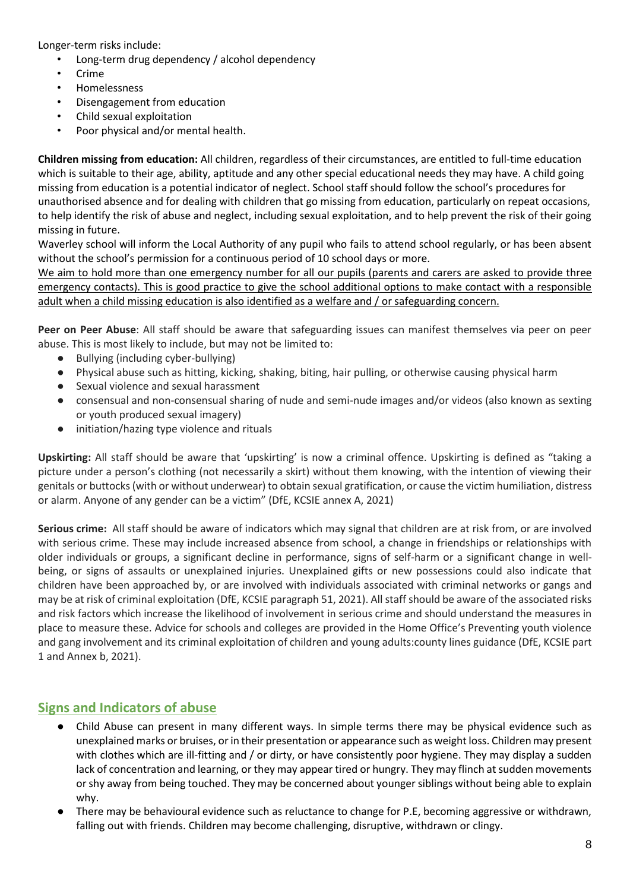Longer-term risks include:

- Long-term drug dependency / alcohol dependency
- **Crime**
- Homelessness
- Disengagement from education
- Child sexual exploitation
- Poor physical and/or mental health.

**Children missing from education:** All children, regardless of their circumstances, are entitled to full-time education which is suitable to their age, ability, aptitude and any other special educational needs they may have. A child going missing from education is a potential indicator of neglect. School staff should follow the school's procedures for unauthorised absence and for dealing with children that go missing from education, particularly on repeat occasions, to help identify the risk of abuse and neglect, including sexual exploitation, and to help prevent the risk of their going missing in future.

Waverley school will inform the Local Authority of any pupil who fails to attend school regularly, or has been absent without the school's permission for a continuous period of 10 school days or more.

We aim to hold more than one emergency number for all our pupils (parents and carers are asked to provide three emergency contacts). This is good practice to give the school additional options to make contact with a responsible adult when a child missing education is also identified as a welfare and / or safeguarding concern.

**Peer on Peer Abuse**: All staff should be aware that safeguarding issues can manifest themselves via peer on peer abuse. This is most likely to include, but may not be limited to:

- Bullying (including cyber-bullying)
- Physical abuse such as hitting, kicking, shaking, biting, hair pulling, or otherwise causing physical harm
- Sexual violence and sexual harassment
- consensual and non-consensual sharing of nude and semi-nude images and/or videos (also known as sexting or youth produced sexual imagery)
- initiation/hazing type violence and rituals

**Upskirting:** All staff should be aware that 'upskirting' is now a criminal offence. Upskirting is defined as "taking a picture under a person's clothing (not necessarily a skirt) without them knowing, with the intention of viewing their genitals or buttocks (with or without underwear) to obtain sexual gratification, or cause the victim humiliation, distress or alarm. Anyone of any gender can be a victim" (DfE, KCSIE annex A, 2021)

**Serious crime:** All staff should be aware of indicators which may signal that children are at risk from, or are involved with serious crime. These may include increased absence from school, a change in friendships or relationships with older individuals or groups, a significant decline in performance, signs of self-harm or a significant change in wellbeing, or signs of assaults or unexplained injuries. Unexplained gifts or new possessions could also indicate that children have been approached by, or are involved with individuals associated with criminal networks or gangs and may be at risk of criminal exploitation (DfE, KCSIE paragraph 51, 2021). All staff should be aware of the associated risks and risk factors which increase the likelihood of involvement in serious crime and should understand the measures in place to measure these. Advice for schools and colleges are provided in the Home Office's Preventing youth violence and gang involvement and its criminal exploitation of children and young adults:county lines guidance (DfE, KCSIE part 1 and Annex b, 2021).

#### **Signs and Indicators of abuse**

- Child Abuse can present in many different ways. In simple terms there may be physical evidence such as unexplained marks or bruises, or in their presentation or appearance such as weight loss. Children may present with clothes which are ill-fitting and / or dirty, or have consistently poor hygiene. They may display a sudden lack of concentration and learning, or they may appear tired or hungry. They may flinch at sudden movements or shy away from being touched. They may be concerned about younger siblings without being able to explain why.
- There may be behavioural evidence such as reluctance to change for P.E, becoming aggressive or withdrawn, falling out with friends. Children may become challenging, disruptive, withdrawn or clingy.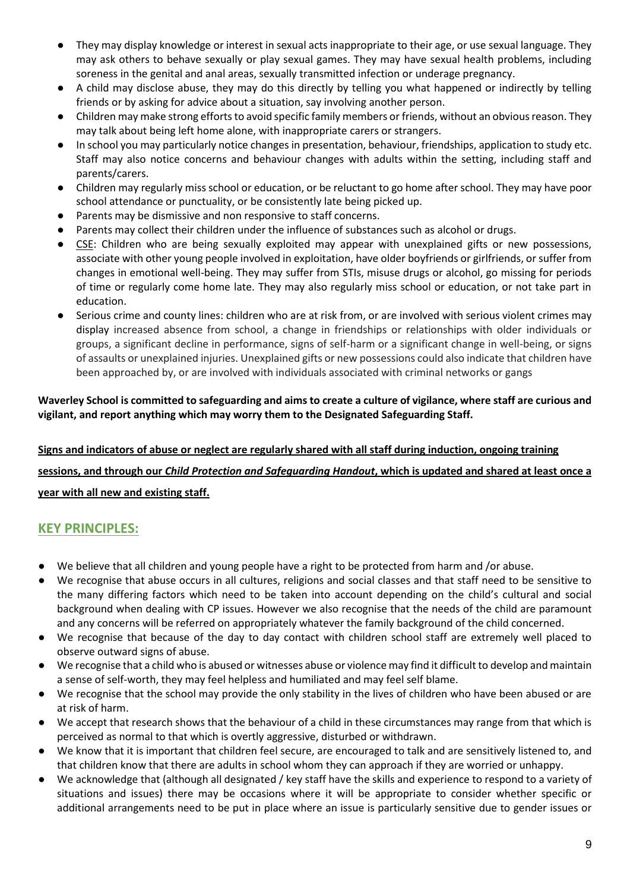- They may display knowledge or interest in sexual acts inappropriate to their age, or use sexual language. They may ask others to behave sexually or play sexual games. They may have sexual health problems, including soreness in the genital and anal areas, sexually transmitted infection or underage pregnancy.
- A child may disclose abuse, they may do this directly by telling you what happened or indirectly by telling friends or by asking for advice about a situation, say involving another person.
- Children may make strong efforts to avoid specific family members or friends, without an obvious reason. They may talk about being left home alone, with inappropriate carers or strangers.
- In school you may particularly notice changes in presentation, behaviour, friendships, application to study etc. Staff may also notice concerns and behaviour changes with adults within the setting, including staff and parents/carers.
- Children may regularly miss school or education, or be reluctant to go home after school. They may have poor school attendance or punctuality, or be consistently late being picked up.
- Parents may be dismissive and non responsive to staff concerns.
- Parents may collect their children under the influence of substances such as alcohol or drugs.
- CSE: Children who are being sexually exploited may appear with unexplained gifts or new possessions, associate with other young people involved in exploitation, have older boyfriends or girlfriends, or suffer from changes in emotional well-being. They may suffer from STIs, misuse drugs or alcohol, go missing for periods of time or regularly come home late. They may also regularly miss school or education, or not take part in education.
- Serious crime and county lines: children who are at risk from, or are involved with serious violent crimes may display increased absence from school, a change in friendships or relationships with older individuals or groups, a significant decline in performance, signs of self-harm or a significant change in well-being, or signs of assaults or unexplained injuries. Unexplained gifts or new possessions could also indicate that children have been approached by, or are involved with individuals associated with criminal networks or gangs

#### **Waverley School is committed to safeguarding and aims to create a culture of vigilance, where staff are curious and vigilant, and report anything which may worry them to the Designated Safeguarding Staff.**

# **Signs and indicators of abuse or neglect are regularly shared with all staff during induction, ongoing training sessions, and through our** *Child Protection and Safeguarding Handout***, which is updated and shared at least once a year with all new and existing staff.**

# **KEY PRINCIPLES:**

- We believe that all children and young people have a right to be protected from harm and /or abuse.
- We recognise that abuse occurs in all cultures, religions and social classes and that staff need to be sensitive to the many differing factors which need to be taken into account depending on the child's cultural and social background when dealing with CP issues. However we also recognise that the needs of the child are paramount and any concerns will be referred on appropriately whatever the family background of the child concerned.
- We recognise that because of the day to day contact with children school staff are extremely well placed to observe outward signs of abuse.
- We recognise that a child who is abused or witnesses abuse or violence may find it difficult to develop and maintain a sense of self-worth, they may feel helpless and humiliated and may feel self blame.
- We recognise that the school may provide the only stability in the lives of children who have been abused or are at risk of harm.
- We accept that research shows that the behaviour of a child in these circumstances may range from that which is perceived as normal to that which is overtly aggressive, disturbed or withdrawn.
- We know that it is important that children feel secure, are encouraged to talk and are sensitively listened to, and that children know that there are adults in school whom they can approach if they are worried or unhappy.
- We acknowledge that (although all designated / key staff have the skills and experience to respond to a variety of situations and issues) there may be occasions where it will be appropriate to consider whether specific or additional arrangements need to be put in place where an issue is particularly sensitive due to gender issues or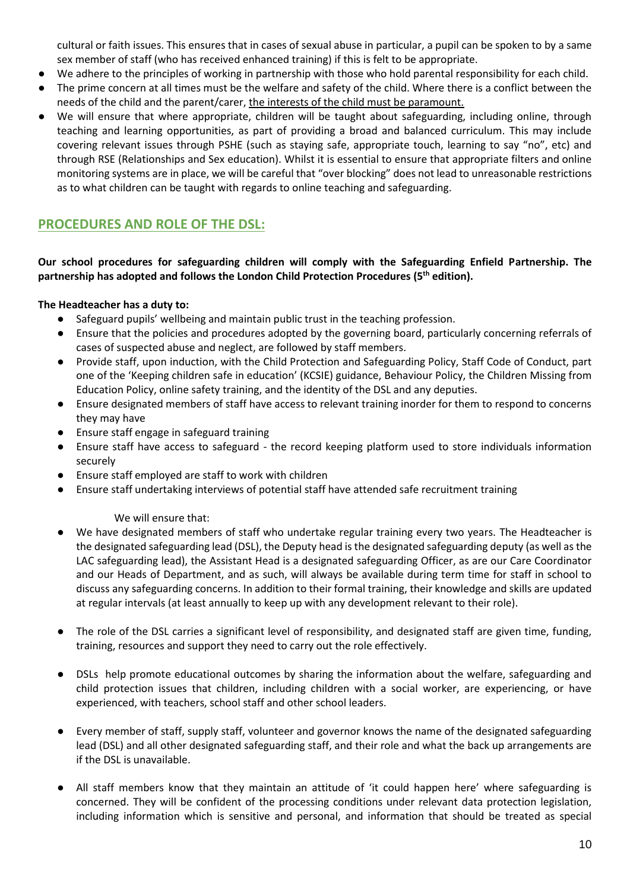cultural or faith issues. This ensures that in cases of sexual abuse in particular, a pupil can be spoken to by a same sex member of staff (who has received enhanced training) if this is felt to be appropriate.

- We adhere to the principles of working in partnership with those who hold parental responsibility for each child.
- The prime concern at all times must be the welfare and safety of the child. Where there is a conflict between the needs of the child and the parent/carer, the interests of the child must be paramount.
- We will ensure that where appropriate, children will be taught about safeguarding, including online, through teaching and learning opportunities, as part of providing a broad and balanced curriculum. This may include covering relevant issues through PSHE (such as staying safe, appropriate touch, learning to say "no", etc) and through RSE (Relationships and Sex education). Whilst it is essential to ensure that appropriate filters and online monitoring systems are in place, we will be careful that "over blocking" does not lead to unreasonable restrictions as to what children can be taught with regards to online teaching and safeguarding.

#### **PROCEDURES AND ROLE OF THE DSL:**

#### **Our school procedures for safeguarding children will comply with the Safeguarding Enfield Partnership. The partnership has adopted and follows the London Child Protection Procedures (5th edition).**

#### **The Headteacher has a duty to:**

- Safeguard pupils' wellbeing and maintain public trust in the teaching profession.
- Ensure that the policies and procedures adopted by the governing board, particularly concerning referrals of cases of suspected abuse and neglect, are followed by staff members.
- Provide staff, upon induction, with the Child Protection and Safeguarding Policy, Staff Code of Conduct, part one of the 'Keeping children safe in education' (KCSIE) guidance, Behaviour Policy, the Children Missing from Education Policy, online safety training, and the identity of the DSL and any deputies.
- Ensure designated members of staff have access to relevant training inorder for them to respond to concerns they may have
- Ensure staff engage in safeguard training
- Ensure staff have access to safeguard the record keeping platform used to store individuals information securely
- Ensure staff employed are staff to work with children
- Ensure staff undertaking interviews of potential staff have attended safe recruitment training

#### We will ensure that:

- We have designated members of staff who undertake regular training every two years. The Headteacher is the designated safeguarding lead (DSL), the Deputy head is the designated safeguarding deputy (as well as the LAC safeguarding lead), the Assistant Head is a designated safeguarding Officer, as are our Care Coordinator and our Heads of Department, and as such, will always be available during term time for staff in school to discuss any safeguarding concerns. In addition to their formal training, their knowledge and skills are updated at regular intervals (at least annually to keep up with any development relevant to their role).
- The role of the DSL carries a significant level of responsibility, and designated staff are given time, funding, training, resources and support they need to carry out the role effectively.
- DSLs help promote educational outcomes by sharing the information about the welfare, safeguarding and child protection issues that children, including children with a social worker, are experiencing, or have experienced, with teachers, school staff and other school leaders.
- Every member of staff, supply staff, volunteer and governor knows the name of the designated safeguarding lead (DSL) and all other designated safeguarding staff, and their role and what the back up arrangements are if the DSL is unavailable.
- All staff members know that they maintain an attitude of 'it could happen here' where safeguarding is concerned. They will be confident of the processing conditions under relevant data protection legislation, including information which is sensitive and personal, and information that should be treated as special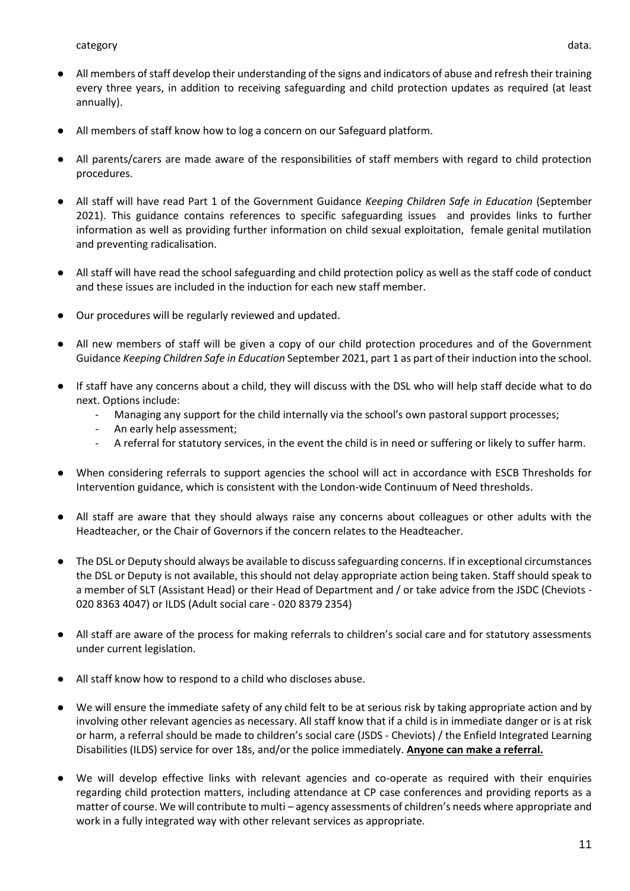- All members of staff know how to log a concern on our Safeguard platform.
- All parents/carers are made aware of the responsibilities of staff members with regard to child protection procedures.
- All staff will have read Part 1 of the Government Guidance *Keeping Children Safe in Education* (September 2021). This guidance contains references to specific safeguarding issues and provides links to further information as well as providing further information on child sexual exploitation, female genital mutilation and preventing radicalisation.
- All staff will have read the school safeguarding and child protection policy as well as the staff code of conduct and these issues are included in the induction for each new staff member.
- Our procedures will be regularly reviewed and updated.
- All new members of staff will be given a copy of our child protection procedures and of the Government Guidance *Keeping Children Safe in Education* September 2021, part 1 as part of their induction into the school.
- If staff have any concerns about a child, they will discuss with the DSL who will help staff decide what to do next. Options include:
	- Managing any support for the child internally via the school's own pastoral support processes;
	- An early help assessment;
	- A referral for statutory services, in the event the child is in need or suffering or likely to suffer harm.
- When considering referrals to support agencies the school will act in accordance with ESCB Thresholds for Intervention guidance, which is consistent with the London-wide Continuum of Need thresholds.
- All staff are aware that they should always raise any concerns about colleagues or other adults with the Headteacher, or the Chair of Governors if the concern relates to the Headteacher.
- The DSL or Deputy should always be available to discuss safeguarding concerns. If in exceptional circumstances the DSL or Deputy is not available, this should not delay appropriate action being taken. Staff should speak to a member of SLT (Assistant Head) or their Head of Department and / or take advice from the JSDC (Cheviots - 020 8363 4047) or ILDS (Adult social care - 020 8379 2354)
- All staff are aware of the process for making referrals to children's social care and for statutory assessments under current legislation.
- All staff know how to respond to a child who discloses abuse.
- We will ensure the immediate safety of any child felt to be at serious risk by taking appropriate action and by involving other relevant agencies as necessary. All staff know that if a child is in immediate danger or is at risk or harm, a referral should be made to children's social care (JSDS - Cheviots) / the Enfield Integrated Learning Disabilities (ILDS) service for over 18s, and/or the police immediately. **Anyone can make a referral.**
- We will develop effective links with relevant agencies and co-operate as required with their enquiries regarding child protection matters, including attendance at CP case conferences and providing reports as a matter of course. We will contribute to multi – agency assessments of children's needs where appropriate and work in a fully integrated way with other relevant services as appropriate.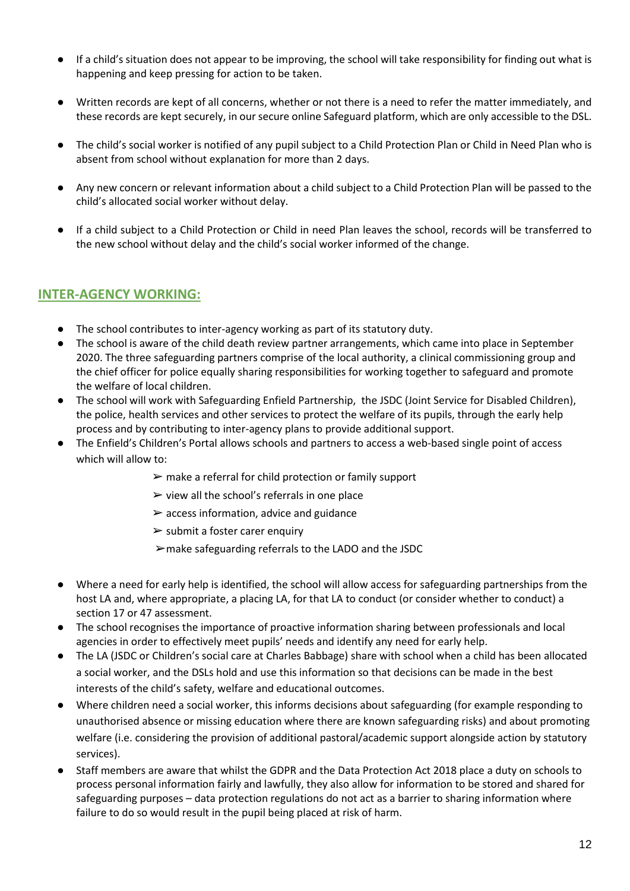- If a child's situation does not appear to be improving, the school will take responsibility for finding out what is happening and keep pressing for action to be taken.
- Written records are kept of all concerns, whether or not there is a need to refer the matter immediately, and these records are kept securely, in our secure online Safeguard platform, which are only accessible to the DSL.
- The child's social worker is notified of any pupil subject to a Child Protection Plan or Child in Need Plan who is absent from school without explanation for more than 2 days.
- Any new concern or relevant information about a child subject to a Child Protection Plan will be passed to the child's allocated social worker without delay.
- If a child subject to a Child Protection or Child in need Plan leaves the school, records will be transferred to the new school without delay and the child's social worker informed of the change.

#### **INTER-AGENCY WORKING:**

- The school contributes to inter-agency working as part of its statutory duty.
- The school is aware of the child death review partner arrangements, which came into place in September 2020. The three safeguarding partners comprise of the local authority, a clinical commissioning group and the chief officer for police equally sharing responsibilities for working together to safeguard and promote the welfare of local children.
- The school will work with Safeguarding Enfield Partnership, the JSDC (Joint Service for Disabled Children), the police, health services and other services to protect the welfare of its pupils, through the early help process and by contributing to inter-agency plans to provide additional support.
- The Enfield's Children's Portal allows schools and partners to access a web-based single point of access which will allow to:
	- $\triangleright$  make a referral for child protection or family support
	- $\triangleright$  view all the school's referrals in one place
	- $\triangleright$  access information, advice and guidance
	- $\triangleright$  submit a foster carer enquiry
	- ➢make safeguarding referrals to the LADO and the JSDC
- Where a need for early help is identified, the school will allow access for safeguarding partnerships from the host LA and, where appropriate, a placing LA, for that LA to conduct (or consider whether to conduct) a section 17 or 47 assessment.
- The school recognises the importance of proactive information sharing between professionals and local agencies in order to effectively meet pupils' needs and identify any need for early help.
- The LA (JSDC or Children's social care at Charles Babbage) share with school when a child has been allocated a social worker, and the DSLs hold and use this information so that decisions can be made in the best interests of the child's safety, welfare and educational outcomes.
- Where children need a social worker, this informs decisions about safeguarding (for example responding to unauthorised absence or missing education where there are known safeguarding risks) and about promoting welfare (i.e. considering the provision of additional pastoral/academic support alongside action by statutory services).
- Staff members are aware that whilst the GDPR and the Data Protection Act 2018 place a duty on schools to process personal information fairly and lawfully, they also allow for information to be stored and shared for safeguarding purposes – data protection regulations do not act as a barrier to sharing information where failure to do so would result in the pupil being placed at risk of harm.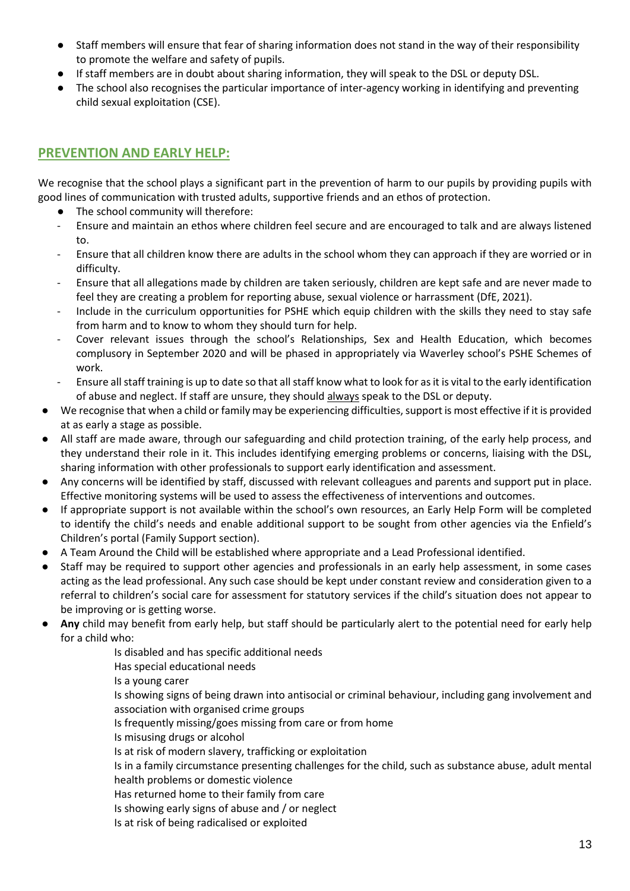- Staff members will ensure that fear of sharing information does not stand in the way of their responsibility to promote the welfare and safety of pupils.
- If staff members are in doubt about sharing information, they will speak to the DSL or deputy DSL.
- The school also recognises the particular importance of inter-agency working in identifying and preventing child sexual exploitation (CSE).

# **PREVENTION AND EARLY HELP:**

We recognise that the school plays a significant part in the prevention of harm to our pupils by providing pupils with good lines of communication with trusted adults, supportive friends and an ethos of protection.

- The school community will therefore:
- Ensure and maintain an ethos where children feel secure and are encouraged to talk and are always listened to.
- Ensure that all children know there are adults in the school whom they can approach if they are worried or in difficulty.
- Ensure that all allegations made by children are taken seriously, children are kept safe and are never made to feel they are creating a problem for reporting abuse, sexual violence or harrassment (DfE, 2021).
- Include in the curriculum opportunities for PSHE which equip children with the skills they need to stay safe from harm and to know to whom they should turn for help.
- Cover relevant issues through the school's Relationships, Sex and Health Education, which becomes complusory in September 2020 and will be phased in appropriately via Waverley school's PSHE Schemes of work.
- Ensure all staff training is up to date so that all staff know what to look for as it is vital to the early identification of abuse and neglect. If staff are unsure, they should always speak to the DSL or deputy.
- We recognise that when a child or family may be experiencing difficulties, support is most effective if it is provided at as early a stage as possible.
- All staff are made aware, through our safeguarding and child protection training, of the early help process, and they understand their role in it. This includes identifying emerging problems or concerns, liaising with the DSL, sharing information with other professionals to support early identification and assessment.
- Any concerns will be identified by staff, discussed with relevant colleagues and parents and support put in place. Effective monitoring systems will be used to assess the effectiveness of interventions and outcomes.
- If appropriate support is not available within the school's own resources, an Early Help Form will be completed to identify the child's needs and enable additional support to be sought from other agencies via the Enfield's Children's portal (Family Support section).
- A Team Around the Child will be established where appropriate and a Lead Professional identified.
- Staff may be required to support other agencies and professionals in an early help assessment, in some cases acting as the lead professional. Any such case should be kept under constant review and consideration given to a referral to children's social care for assessment for statutory services if the child's situation does not appear to be improving or is getting worse.
- **Any** child may benefit from early help, but staff should be particularly alert to the potential need for early help for a child who:

Is disabled and has specific additional needs Has special educational needs Is a young carer Is showing signs of being drawn into antisocial or criminal behaviour, including gang involvement and association with organised crime groups Is frequently missing/goes missing from care or from home Is misusing drugs or alcohol Is at risk of modern slavery, trafficking or exploitation Is in a family circumstance presenting challenges for the child, such as substance abuse, adult mental health problems or domestic violence Has returned home to their family from care Is showing early signs of abuse and / or neglect Is at risk of being radicalised or exploited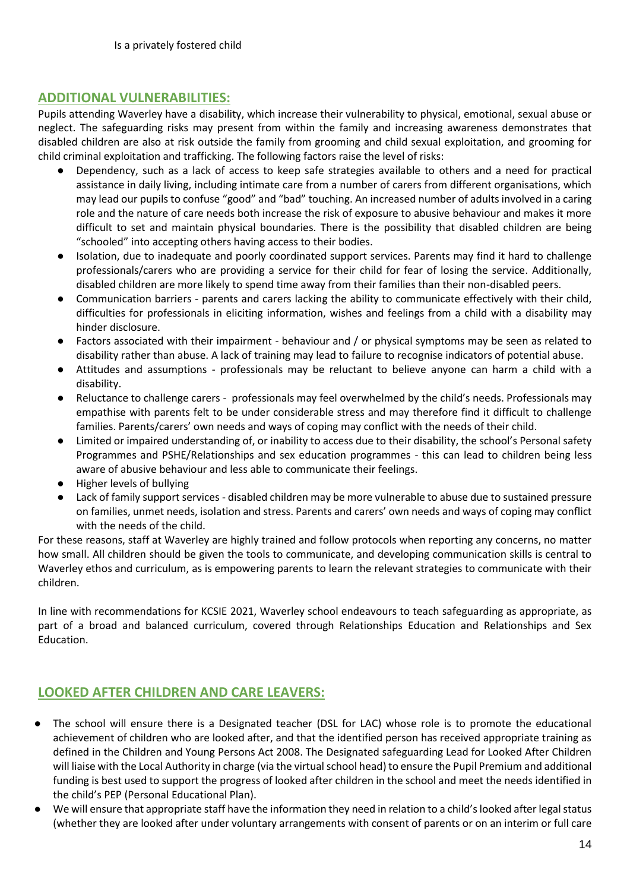#### **ADDITIONAL VULNERABILITIES:**

Pupils attending Waverley have a disability, which increase their vulnerability to physical, emotional, sexual abuse or neglect. The safeguarding risks may present from within the family and increasing awareness demonstrates that disabled children are also at risk outside the family from grooming and child sexual exploitation, and grooming for child criminal exploitation and trafficking. The following factors raise the level of risks:

- Dependency, such as a lack of access to keep safe strategies available to others and a need for practical assistance in daily living, including intimate care from a number of carers from different organisations, which may lead our pupils to confuse "good" and "bad" touching. An increased number of adults involved in a caring role and the nature of care needs both increase the risk of exposure to abusive behaviour and makes it more difficult to set and maintain physical boundaries. There is the possibility that disabled children are being "schooled" into accepting others having access to their bodies.
- Isolation, due to inadequate and poorly coordinated support services. Parents may find it hard to challenge professionals/carers who are providing a service for their child for fear of losing the service. Additionally, disabled children are more likely to spend time away from their families than their non-disabled peers.
- Communication barriers parents and carers lacking the ability to communicate effectively with their child, difficulties for professionals in eliciting information, wishes and feelings from a child with a disability may hinder disclosure.
- Factors associated with their impairment behaviour and / or physical symptoms may be seen as related to disability rather than abuse. A lack of training may lead to failure to recognise indicators of potential abuse.
- Attitudes and assumptions professionals may be reluctant to believe anyone can harm a child with a disability.
- Reluctance to challenge carers professionals may feel overwhelmed by the child's needs. Professionals may empathise with parents felt to be under considerable stress and may therefore find it difficult to challenge families. Parents/carers' own needs and ways of coping may conflict with the needs of their child.
- Limited or impaired understanding of, or inability to access due to their disability, the school's Personal safety Programmes and PSHE/Relationships and sex education programmes - this can lead to children being less aware of abusive behaviour and less able to communicate their feelings.
- Higher levels of bullying
- Lack of family support services disabled children may be more vulnerable to abuse due to sustained pressure on families, unmet needs, isolation and stress. Parents and carers' own needs and ways of coping may conflict with the needs of the child.

For these reasons, staff at Waverley are highly trained and follow protocols when reporting any concerns, no matter how small. All children should be given the tools to communicate, and developing communication skills is central to Waverley ethos and curriculum, as is empowering parents to learn the relevant strategies to communicate with their children.

In line with recommendations for KCSIE 2021, Waverley school endeavours to teach safeguarding as appropriate, as part of a broad and balanced curriculum, covered through Relationships Education and Relationships and Sex Education.

# **LOOKED AFTER CHILDREN AND CARE LEAVERS:**

- The school will ensure there is a Designated teacher (DSL for LAC) whose role is to promote the educational achievement of children who are looked after, and that the identified person has received appropriate training as defined in the Children and Young Persons Act 2008. The Designated safeguarding Lead for Looked After Children will liaise with the Local Authority in charge (via the virtual school head) to ensure the Pupil Premium and additional funding is best used to support the progress of looked after children in the school and meet the needs identified in the child's PEP (Personal Educational Plan).
- We will ensure that appropriate staff have the information they need in relation to a child's looked after legal status (whether they are looked after under voluntary arrangements with consent of parents or on an interim or full care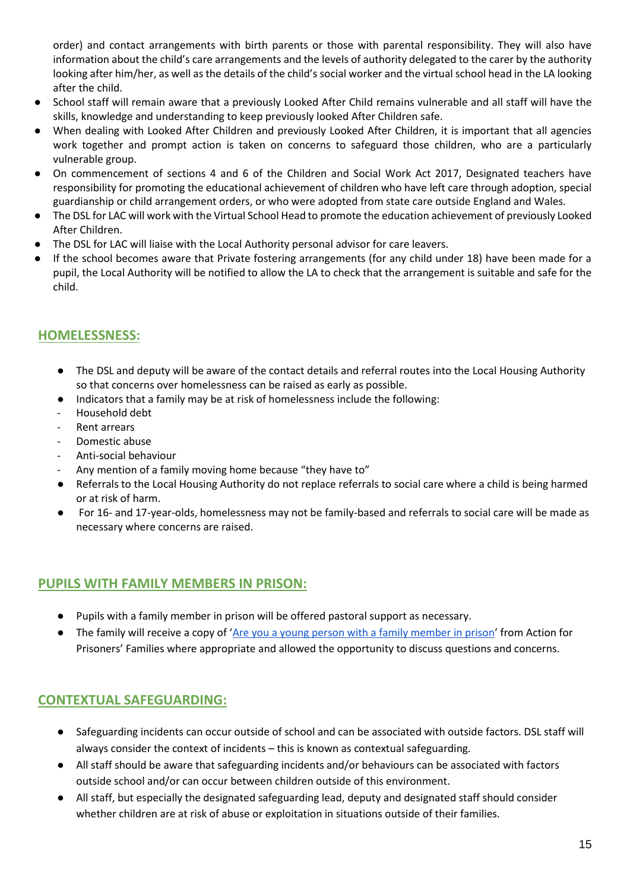order) and contact arrangements with birth parents or those with parental responsibility. They will also have information about the child's care arrangements and the levels of authority delegated to the carer by the authority looking after him/her, as well as the details of the child's social worker and the virtual school head in the LA looking after the child.

- School staff will remain aware that a previously Looked After Child remains vulnerable and all staff will have the skills, knowledge and understanding to keep previously looked After Children safe.
- When dealing with Looked After Children and previously Looked After Children, it is important that all agencies work together and prompt action is taken on concerns to safeguard those children, who are a particularly vulnerable group.
- On commencement of sections 4 and 6 of the Children and Social Work Act 2017, Designated teachers have responsibility for promoting the educational achievement of children who have left care through adoption, special guardianship or child arrangement orders, or who were adopted from state care outside England and Wales.
- The DSL for LAC will work with the Virtual School Head to promote the education achievement of previously Looked After Children.
- The DSL for LAC will liaise with the Local Authority personal advisor for care leavers.
- If the school becomes aware that Private fostering arrangements (for any child under 18) have been made for a pupil, the Local Authority will be notified to allow the LA to check that the arrangement is suitable and safe for the child.

# **HOMELESSNESS:**

- The DSL and deputy will be aware of the contact details and referral routes into the Local Housing Authority so that concerns over homelessness can be raised as early as possible.
- Indicators that a family may be at risk of homelessness include the following:
- Household debt
- Rent arrears
- Domestic abuse
- Anti-social behaviour
- Any mention of a family moving home because "they have to"
- Referrals to the Local Housing Authority do not replace referrals to social care where a child is being harmed or at risk of harm.
- For 16- and 17-year-olds, homelessness may not be family-based and referrals to social care will be made as necessary where concerns are raised.

#### **PUPILS WITH FAMILY MEMBERS IN PRISON:**

- Pupils with a family member in prison will be offered pastoral support as necessary.
- The family will receive a copy of '[Are you a young person with a family member in prison](https://www.nicco.org.uk/directory-of-resources)' from Action for Prisoners' Families where appropriate and allowed the opportunity to discuss questions and concerns.

# **CONTEXTUAL SAFEGUARDING:**

- Safeguarding incidents can occur outside of school and can be associated with outside factors. DSL staff will always consider the context of incidents – this is known as contextual safeguarding.
- All staff should be aware that safeguarding incidents and/or behaviours can be associated with factors outside school and/or can occur between children outside of this environment.
- All staff, but especially the designated safeguarding lead, deputy and designated staff should consider whether children are at risk of abuse or exploitation in situations outside of their families.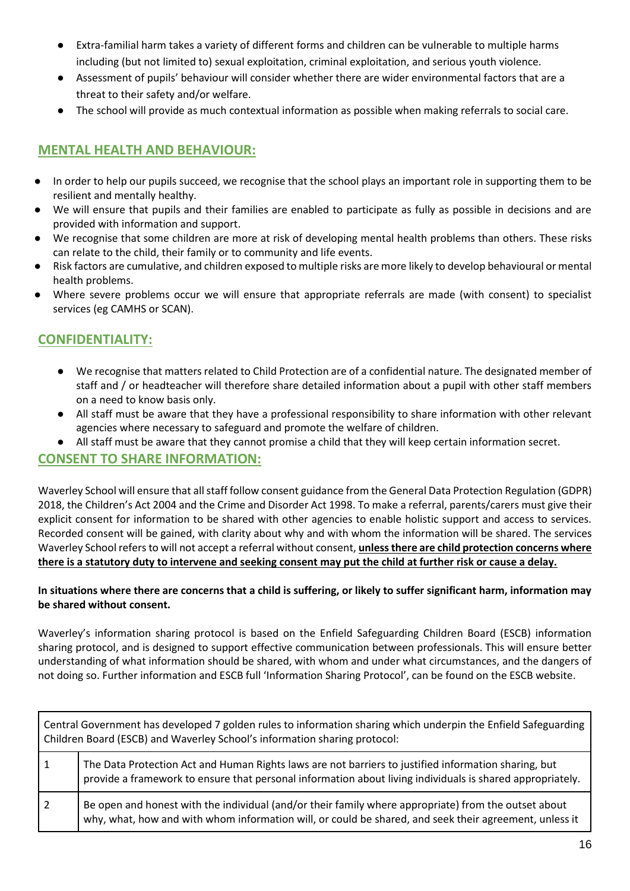- Extra-familial harm takes a variety of different forms and children can be vulnerable to multiple harms including (but not limited to) sexual exploitation, criminal exploitation, and serious youth violence.
- Assessment of pupils' behaviour will consider whether there are wider environmental factors that are a threat to their safety and/or welfare.
- The school will provide as much contextual information as possible when making referrals to social care.

#### **MENTAL HEALTH AND BEHAVIOUR:**

- In order to help our pupils succeed, we recognise that the school plays an important role in supporting them to be resilient and mentally healthy.
- We will ensure that pupils and their families are enabled to participate as fully as possible in decisions and are provided with information and support.
- We recognise that some children are more at risk of developing mental health problems than others. These risks can relate to the child, their family or to community and life events.
- Risk factors are cumulative, and children exposed to multiple risks are more likely to develop behavioural or mental health problems.
- Where severe problems occur we will ensure that appropriate referrals are made (with consent) to specialist services (eg CAMHS or SCAN).

# **CONFIDENTIALITY:**

- We recognise that matters related to Child Protection are of a confidential nature. The designated member of staff and / or headteacher will therefore share detailed information about a pupil with other staff members on a need to know basis only.
- All staff must be aware that they have a professional responsibility to share information with other relevant agencies where necessary to safeguard and promote the welfare of children.
- All staff must be aware that they cannot promise a child that they will keep certain information secret.

#### **CONSENT TO SHARE INFORMATION:**

Waverley School will ensure that all staff follow consent guidance from the General Data Protection Regulation (GDPR) 2018, the Children's Act 2004 and the Crime and Disorder Act 1998. To make a referral, parents/carers must give their explicit consent for information to be shared with other agencies to enable holistic support and access to services. Recorded consent will be gained, with clarity about why and with whom the information will be shared. The services Waverley School refers to will not accept a referral without consent, **unless there are child protection concerns where there is a statutory duty to intervene and seeking consent may put the child at further risk or cause a delay.**

#### **In situations where there are concerns that a child is suffering, or likely to suffer significant harm, information may be shared without consent.**

Waverley's information sharing protocol is based on the Enfield Safeguarding Children Board (ESCB) information sharing protocol, and is designed to support effective communication between professionals. This will ensure better understanding of what information should be shared, with whom and under what circumstances, and the dangers of not doing so. Further information and ESCB full 'Information Sharing Protocol', can be found on the ESCB website.

| Central Government has developed 7 golden rules to information sharing which underpin the Enfield Safeguarding<br>Children Board (ESCB) and Waverley School's information sharing protocol: |                                                                                                                                                                                                                   |  |
|---------------------------------------------------------------------------------------------------------------------------------------------------------------------------------------------|-------------------------------------------------------------------------------------------------------------------------------------------------------------------------------------------------------------------|--|
|                                                                                                                                                                                             | The Data Protection Act and Human Rights laws are not barriers to justified information sharing, but<br>provide a framework to ensure that personal information about living individuals is shared appropriately. |  |
|                                                                                                                                                                                             | Be open and honest with the individual (and/or their family where appropriate) from the outset about<br>why, what, how and with whom information will, or could be shared, and seek their agreement, unless it    |  |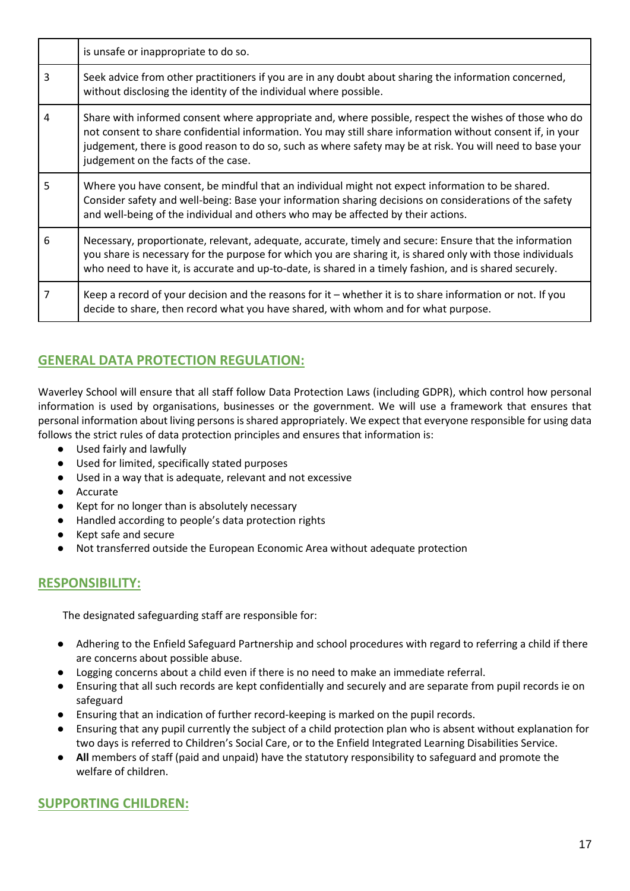|   | is unsafe or inappropriate to do so.                                                                                                                                                                                                                                                                                                                                    |
|---|-------------------------------------------------------------------------------------------------------------------------------------------------------------------------------------------------------------------------------------------------------------------------------------------------------------------------------------------------------------------------|
| 3 | Seek advice from other practitioners if you are in any doubt about sharing the information concerned,<br>without disclosing the identity of the individual where possible.                                                                                                                                                                                              |
| 4 | Share with informed consent where appropriate and, where possible, respect the wishes of those who do<br>not consent to share confidential information. You may still share information without consent if, in your<br>judgement, there is good reason to do so, such as where safety may be at risk. You will need to base your<br>judgement on the facts of the case. |
| 5 | Where you have consent, be mindful that an individual might not expect information to be shared.<br>Consider safety and well-being: Base your information sharing decisions on considerations of the safety<br>and well-being of the individual and others who may be affected by their actions.                                                                        |
| 6 | Necessary, proportionate, relevant, adequate, accurate, timely and secure: Ensure that the information<br>you share is necessary for the purpose for which you are sharing it, is shared only with those individuals<br>who need to have it, is accurate and up-to-date, is shared in a timely fashion, and is shared securely.                                         |
|   | Keep a record of your decision and the reasons for it – whether it is to share information or not. If you<br>decide to share, then record what you have shared, with whom and for what purpose.                                                                                                                                                                         |

# **GENERAL DATA PROTECTION REGULATION:**

Waverley School will ensure that all staff follow Data Protection Laws (including GDPR), which control how personal information is used by organisations, businesses or the government. We will use a framework that ensures that personal information about living persons is shared appropriately. We expect that everyone responsible for using data follows the strict rules of data protection principles and ensures that information is:

- Used fairly and lawfully
- Used for limited, specifically stated purposes
- Used in a way that is adequate, relevant and not excessive
- Accurate
- Kept for no longer than is absolutely necessary
- Handled according to people's data protection rights
- Kept safe and secure
- Not transferred outside the European Economic Area without adequate protection

#### **RESPONSIBILITY:**

The designated safeguarding staff are responsible for:

- Adhering to the Enfield Safeguard Partnership and school procedures with regard to referring a child if there are concerns about possible abuse.
- Logging concerns about a child even if there is no need to make an immediate referral.
- Ensuring that all such records are kept confidentially and securely and are separate from pupil records ie on safeguard
- Ensuring that an indication of further record-keeping is marked on the pupil records.
- Ensuring that any pupil currently the subject of a child protection plan who is absent without explanation for two days is referred to Children's Social Care, or to the Enfield Integrated Learning Disabilities Service.
- **All** members of staff (paid and unpaid) have the statutory responsibility to safeguard and promote the welfare of children.

#### **SUPPORTING CHILDREN:**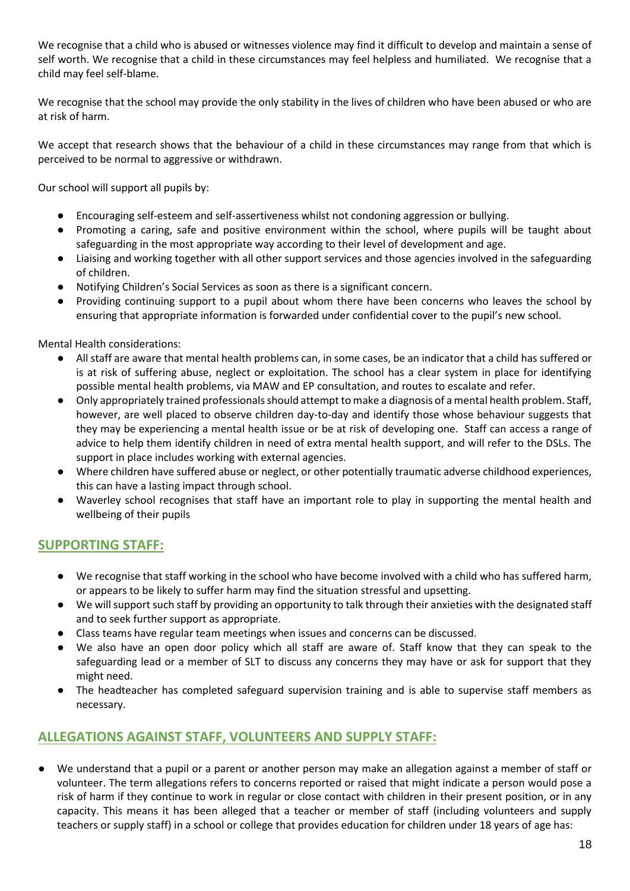We recognise that a child who is abused or witnesses violence may find it difficult to develop and maintain a sense of self worth. We recognise that a child in these circumstances may feel helpless and humiliated. We recognise that a child may feel self-blame.

We recognise that the school may provide the only stability in the lives of children who have been abused or who are at risk of harm.

We accept that research shows that the behaviour of a child in these circumstances may range from that which is perceived to be normal to aggressive or withdrawn.

Our school will support all pupils by:

- Encouraging self-esteem and self-assertiveness whilst not condoning aggression or bullying.
- Promoting a caring, safe and positive environment within the school, where pupils will be taught about safeguarding in the most appropriate way according to their level of development and age.
- Liaising and working together with all other support services and those agencies involved in the safeguarding of children.
- Notifying Children's Social Services as soon as there is a significant concern.
- Providing continuing support to a pupil about whom there have been concerns who leaves the school by ensuring that appropriate information is forwarded under confidential cover to the pupil's new school.

Mental Health considerations:

- All staff are aware that mental health problems can, in some cases, be an indicator that a child has suffered or is at risk of suffering abuse, neglect or exploitation. The school has a clear system in place for identifying possible mental health problems, via MAW and EP consultation, and routes to escalate and refer.
- Only appropriately trained professionals should attempt to make a diagnosis of a mental health problem. Staff, however, are well placed to observe children day-to-day and identify those whose behaviour suggests that they may be experiencing a mental health issue or be at risk of developing one. Staff can access a range of advice to help them identify children in need of extra mental health support, and will refer to the DSLs. The support in place includes working with external agencies.
- Where children have suffered abuse or neglect, or other potentially traumatic adverse childhood experiences, this can have a lasting impact through school.
- Waverley school recognises that staff have an important role to play in supporting the mental health and wellbeing of their pupils

#### **SUPPORTING STAFF:**

- We recognise that staff working in the school who have become involved with a child who has suffered harm, or appears to be likely to suffer harm may find the situation stressful and upsetting.
- We will support such staff by providing an opportunity to talk through their anxieties with the designated staff and to seek further support as appropriate.
- Class teams have regular team meetings when issues and concerns can be discussed.
- We also have an open door policy which all staff are aware of. Staff know that they can speak to the safeguarding lead or a member of SLT to discuss any concerns they may have or ask for support that they might need.
- The headteacher has completed safeguard supervision training and is able to supervise staff members as necessary.

# **ALLEGATIONS AGAINST STAFF, VOLUNTEERS AND SUPPLY STAFF:**

We understand that a pupil or a parent or another person may make an allegation against a member of staff or volunteer. The term allegations refers to concerns reported or raised that might indicate a person would pose a risk of harm if they continue to work in regular or close contact with children in their present position, or in any capacity. This means it has been alleged that a teacher or member of staff (including volunteers and supply teachers or supply staff) in a school or college that provides education for children under 18 years of age has: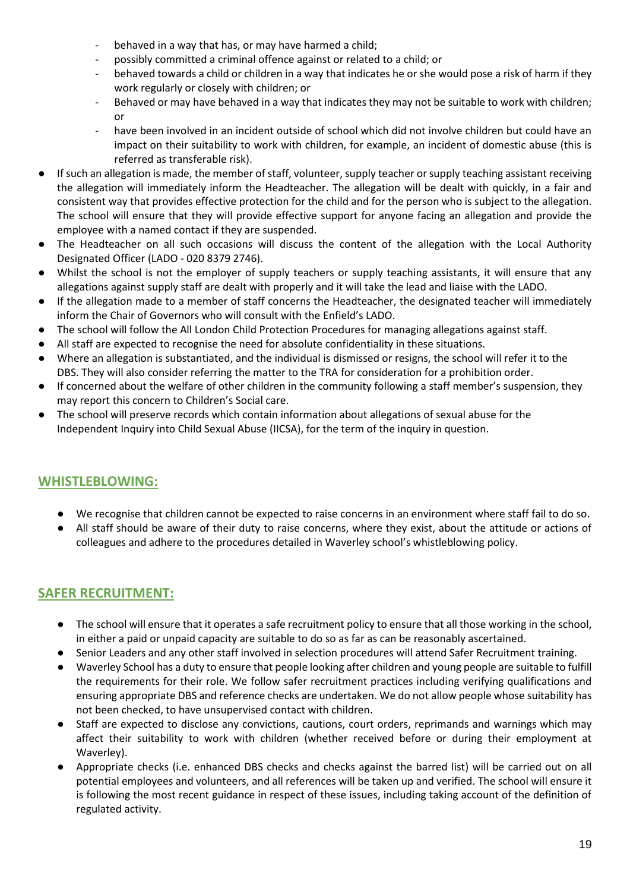- behaved in a way that has, or may have harmed a child;
- possibly committed a criminal offence against or related to a child; or
- behaved towards a child or children in a way that indicates he or she would pose a risk of harm if they work regularly or closely with children; or
- Behaved or may have behaved in a way that indicates they may not be suitable to work with children; or
- have been involved in an incident outside of school which did not involve children but could have an impact on their suitability to work with children, for example, an incident of domestic abuse (this is referred as transferable risk).
- If such an allegation is made, the member of staff, volunteer, supply teacher or supply teaching assistant receiving the allegation will immediately inform the Headteacher. The allegation will be dealt with quickly, in a fair and consistent way that provides effective protection for the child and for the person who is subject to the allegation. The school will ensure that they will provide effective support for anyone facing an allegation and provide the employee with a named contact if they are suspended.
- The Headteacher on all such occasions will discuss the content of the allegation with the Local Authority Designated Officer (LADO - 020 8379 2746).
- Whilst the school is not the employer of supply teachers or supply teaching assistants, it will ensure that any allegations against supply staff are dealt with properly and it will take the lead and liaise with the LADO.
- If the allegation made to a member of staff concerns the Headteacher, the designated teacher will immediately inform the Chair of Governors who will consult with the Enfield's LADO.
- The school will follow the All London Child Protection Procedures for managing allegations against staff.
- All staff are expected to recognise the need for absolute confidentiality in these situations.
- Where an allegation is substantiated, and the individual is dismissed or resigns, the school will refer it to the DBS. They will also consider referring the matter to the TRA for consideration for a prohibition order.
- If concerned about the welfare of other children in the community following a staff member's suspension, they may report this concern to Children's Social care.
- The school will preserve records which contain information about allegations of sexual abuse for the Independent Inquiry into Child Sexual Abuse (IICSA), for the term of the inquiry in question.

# **WHISTLEBLOWING:**

- We recognise that children cannot be expected to raise concerns in an environment where staff fail to do so.
- All staff should be aware of their duty to raise concerns, where they exist, about the attitude or actions of colleagues and adhere to the procedures detailed in Waverley school's whistleblowing policy.

# **SAFER RECRUITMENT:**

- The school will ensure that it operates a safe recruitment policy to ensure that all those working in the school, in either a paid or unpaid capacity are suitable to do so as far as can be reasonably ascertained.
- Senior Leaders and any other staff involved in selection procedures will attend Safer Recruitment training.
- Waverley School has a duty to ensure that people looking after children and young people are suitable to fulfill the requirements for their role. We follow safer recruitment practices including verifying qualifications and ensuring appropriate DBS and reference checks are undertaken. We do not allow people whose suitability has not been checked, to have unsupervised contact with children.
- Staff are expected to disclose any convictions, cautions, court orders, reprimands and warnings which may affect their suitability to work with children (whether received before or during their employment at Waverley).
- Appropriate checks (i.e. enhanced DBS checks and checks against the barred list) will be carried out on all potential employees and volunteers, and all references will be taken up and verified. The school will ensure it is following the most recent guidance in respect of these issues, including taking account of the definition of regulated activity.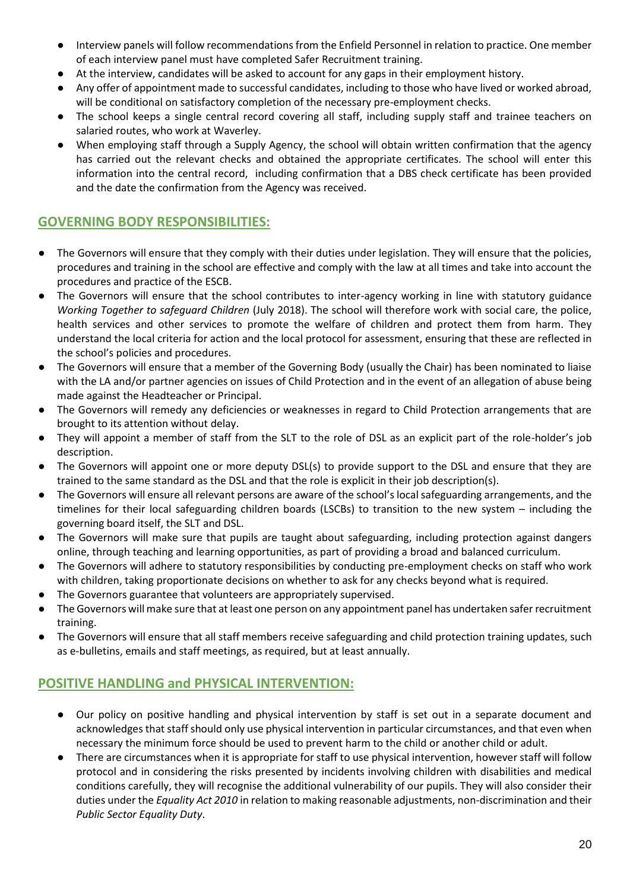- Interview panels will follow recommendations from the Enfield Personnel in relation to practice. One member of each interview panel must have completed Safer Recruitment training.
- At the interview, candidates will be asked to account for any gaps in their employment history.
- Any offer of appointment made to successful candidates, including to those who have lived or worked abroad, will be conditional on satisfactory completion of the necessary pre-employment checks.
- The school keeps a single central record covering all staff, including supply staff and trainee teachers on salaried routes, who work at Waverley.
- When employing staff through a Supply Agency, the school will obtain written confirmation that the agency has carried out the relevant checks and obtained the appropriate certificates. The school will enter this information into the central record, including confirmation that a DBS check certificate has been provided and the date the confirmation from the Agency was received.

# **GOVERNING BODY RESPONSIBILITIES:**

- The Governors will ensure that they comply with their duties under legislation. They will ensure that the policies, procedures and training in the school are effective and comply with the law at all times and take into account the procedures and practice of the ESCB.
- The Governors will ensure that the school contributes to inter-agency working in line with statutory guidance *Working Together to safeguard Children* (July 2018). The school will therefore work with social care, the police, health services and other services to promote the welfare of children and protect them from harm. They understand the local criteria for action and the local protocol for assessment, ensuring that these are reflected in the school's policies and procedures.
- The Governors will ensure that a member of the Governing Body (usually the Chair) has been nominated to liaise with the LA and/or partner agencies on issues of Child Protection and in the event of an allegation of abuse being made against the Headteacher or Principal.
- The Governors will remedy any deficiencies or weaknesses in regard to Child Protection arrangements that are brought to its attention without delay.
- They will appoint a member of staff from the SLT to the role of DSL as an explicit part of the role-holder's job description.
- The Governors will appoint one or more deputy DSL(s) to provide support to the DSL and ensure that they are trained to the same standard as the DSL and that the role is explicit in their job description(s).
- The Governors will ensure all relevant persons are aware of the school's local safeguarding arrangements, and the timelines for their local safeguarding children boards (LSCBs) to transition to the new system – including the governing board itself, the SLT and DSL.
- The Governors will make sure that pupils are taught about safeguarding, including protection against dangers online, through teaching and learning opportunities, as part of providing a broad and balanced curriculum.
- The Governors will adhere to statutory responsibilities by conducting pre-employment checks on staff who work with children, taking proportionate decisions on whether to ask for any checks beyond what is required.
- The Governors guarantee that volunteers are appropriately supervised.
- The Governors will make sure that at least one person on any appointment panel has undertaken safer recruitment training.
- The Governors will ensure that all staff members receive safeguarding and child protection training updates, such as e-bulletins, emails and staff meetings, as required, but at least annually.

# **POSITIVE HANDLING and PHYSICAL INTERVENTION:**

- Our policy on positive handling and physical intervention by staff is set out in a separate document and acknowledges that staff should only use physical intervention in particular circumstances, and that even when necessary the minimum force should be used to prevent harm to the child or another child or adult.
- There are circumstances when it is appropriate for staff to use physical intervention, however staff will follow protocol and in considering the risks presented by incidents involving children with disabilities and medical conditions carefully, they will recognise the additional vulnerability of our pupils. They will also consider their duties under the *Equality Act 2010* in relation to making reasonable adjustments, non-discrimination and their *Public Sector Equality Duty*.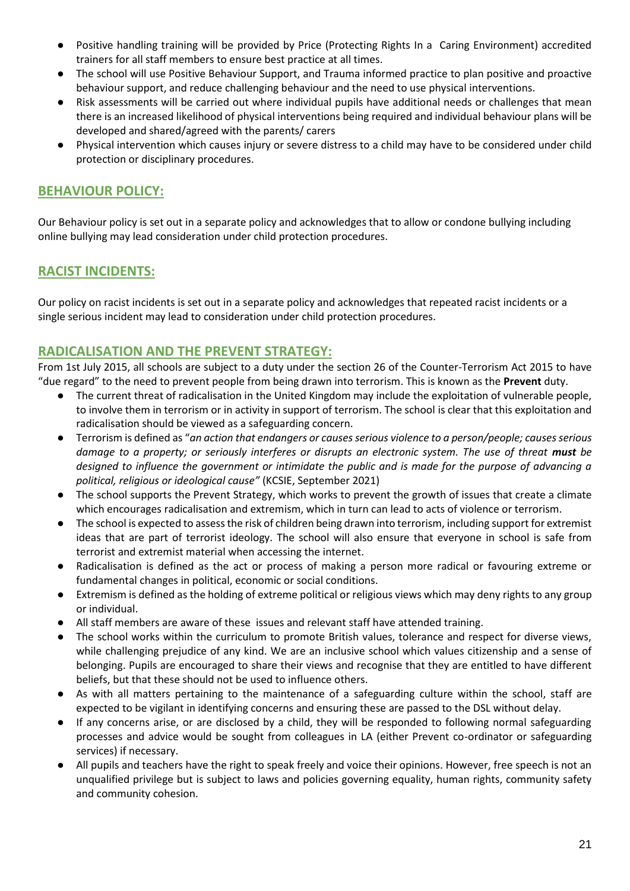- Positive handling training will be provided by Price (Protecting Rights In a Caring Environment) accredited trainers for all staff members to ensure best practice at all times.
- The school will use Positive Behaviour Support, and Trauma informed practice to plan positive and proactive behaviour support, and reduce challenging behaviour and the need to use physical interventions.
- Risk assessments will be carried out where individual pupils have additional needs or challenges that mean there is an increased likelihood of physical interventions being required and individual behaviour plans will be developed and shared/agreed with the parents/ carers
- Physical intervention which causes injury or severe distress to a child may have to be considered under child protection or disciplinary procedures.

#### **BEHAVIOUR POLICY:**

Our Behaviour policy is set out in a separate policy and acknowledges that to allow or condone bullying including online bullying may lead consideration under child protection procedures.

#### **RACIST INCIDENTS:**

Our policy on racist incidents is set out in a separate policy and acknowledges that repeated racist incidents or a single serious incident may lead to consideration under child protection procedures.

#### **RADICALISATION AND THE PREVENT STRATEGY:**

From 1st July 2015, all schools are subject to a duty under the section 26 of the Counter-Terrorism Act 2015 to have "due regard" to the need to prevent people from being drawn into terrorism. This is known as the **Prevent** duty.

- The current threat of radicalisation in the United Kingdom may include the exploitation of vulnerable people, to involve them in terrorism or in activity in support of terrorism. The school is clear that this exploitation and radicalisation should be viewed as a safeguarding concern.
- Terrorism is defined as "*an action that endangers or causes serious violence to a person/people; causes serious damage to a property; or seriously interferes or disrupts an electronic system. The use of threat must be designed to influence the government or intimidate the public and is made for the purpose of advancing a political, religious or ideological cause"* (KCSIE, September 2021)
- The school supports the Prevent Strategy, which works to prevent the growth of issues that create a climate which encourages radicalisation and extremism, which in turn can lead to acts of violence or terrorism.
- The school is expected to assess the risk of children being drawn into terrorism, including support for extremist ideas that are part of terrorist ideology. The school will also ensure that everyone in school is safe from terrorist and extremist material when accessing the internet.
- Radicalisation is defined as the act or process of making a person more radical or favouring extreme or fundamental changes in political, economic or social conditions.
- Extremism is defined as the holding of extreme political or religious views which may deny rights to any group or individual.
- All staff members are aware of these issues and relevant staff have attended training.
- The school works within the curriculum to promote British values, tolerance and respect for diverse views, while challenging prejudice of any kind. We are an inclusive school which values citizenship and a sense of belonging. Pupils are encouraged to share their views and recognise that they are entitled to have different beliefs, but that these should not be used to influence others.
- As with all matters pertaining to the maintenance of a safeguarding culture within the school, staff are expected to be vigilant in identifying concerns and ensuring these are passed to the DSL without delay.
- If any concerns arise, or are disclosed by a child, they will be responded to following normal safeguarding processes and advice would be sought from colleagues in LA (either Prevent co-ordinator or safeguarding services) if necessary.
- All pupils and teachers have the right to speak freely and voice their opinions. However, free speech is not an unqualified privilege but is subject to laws and policies governing equality, human rights, community safety and community cohesion.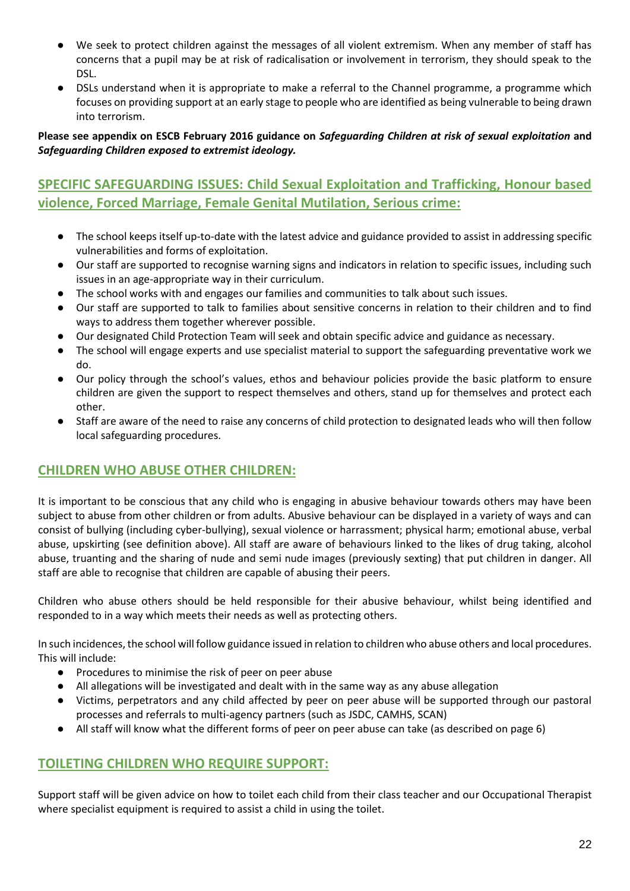- We seek to protect children against the messages of all violent extremism. When any member of staff has concerns that a pupil may be at risk of radicalisation or involvement in terrorism, they should speak to the DSL.
- DSLs understand when it is appropriate to make a referral to the Channel programme, a programme which focuses on providing support at an early stage to people who are identified as being vulnerable to being drawn into terrorism.

#### **Please see appendix on ESCB February 2016 guidance on** *Safeguarding Children at risk of sexual exploitation* **and**  *Safeguarding Children exposed to extremist ideology.*

# **SPECIFIC SAFEGUARDING ISSUES: Child Sexual Exploitation and Trafficking, Honour based violence, Forced Marriage, Female Genital Mutilation, Serious crime:**

- The school keeps itself up-to-date with the latest advice and guidance provided to assist in addressing specific vulnerabilities and forms of exploitation.
- Our staff are supported to recognise warning signs and indicators in relation to specific issues, including such issues in an age-appropriate way in their curriculum.
- The school works with and engages our families and communities to talk about such issues.
- Our staff are supported to talk to families about sensitive concerns in relation to their children and to find ways to address them together wherever possible.
- Our designated Child Protection Team will seek and obtain specific advice and guidance as necessary.
- The school will engage experts and use specialist material to support the safeguarding preventative work we do.
- Our policy through the school's values, ethos and behaviour policies provide the basic platform to ensure children are given the support to respect themselves and others, stand up for themselves and protect each other.
- Staff are aware of the need to raise any concerns of child protection to designated leads who will then follow local safeguarding procedures.

# **CHILDREN WHO ABUSE OTHER CHILDREN:**

It is important to be conscious that any child who is engaging in abusive behaviour towards others may have been subject to abuse from other children or from adults. Abusive behaviour can be displayed in a variety of ways and can consist of bullying (including cyber-bullying), sexual violence or harrassment; physical harm; emotional abuse, verbal abuse, upskirting (see definition above). All staff are aware of behaviours linked to the likes of drug taking, alcohol abuse, truanting and the sharing of nude and semi nude images (previously sexting) that put children in danger. All staff are able to recognise that children are capable of abusing their peers.

Children who abuse others should be held responsible for their abusive behaviour, whilst being identified and responded to in a way which meets their needs as well as protecting others.

In such incidences, the school will follow guidance issued in relation to children who abuse others and local procedures. This will include:

- Procedures to minimise the risk of peer on peer abuse
- All allegations will be investigated and dealt with in the same way as any abuse allegation
- Victims, perpetrators and any child affected by peer on peer abuse will be supported through our pastoral processes and referrals to multi-agency partners (such as JSDC, CAMHS, SCAN)
- All staff will know what the different forms of peer on peer abuse can take (as described on page 6)

# **TOILETING CHILDREN WHO REQUIRE SUPPORT:**

Support staff will be given advice on how to toilet each child from their class teacher and our Occupational Therapist where specialist equipment is required to assist a child in using the toilet.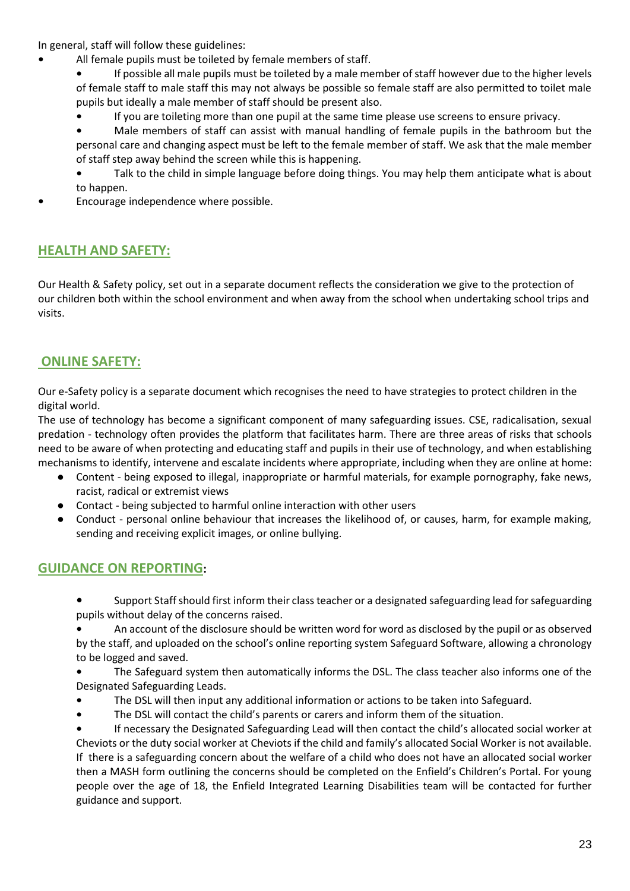In general, staff will follow these guidelines:

- **•** All female pupils must be toileted by female members of staff.
	- **•** If possible all male pupils must be toileted by a male member of staff however due to the higher levels of female staff to male staff this may not always be possible so female staff are also permitted to toilet male pupils but ideally a male member of staff should be present also.
	- **•** If you are toileting more than one pupil at the same time please use screens to ensure privacy.
	- **•** Male members of staff can assist with manual handling of female pupils in the bathroom but the personal care and changing aspect must be left to the female member of staff. We ask that the male member of staff step away behind the screen while this is happening.
	- **•** Talk to the child in simple language before doing things. You may help them anticipate what is about to happen.
- **•** Encourage independence where possible.

# **HEALTH AND SAFETY:**

Our Health & Safety policy, set out in a separate document reflects the consideration we give to the protection of our children both within the school environment and when away from the school when undertaking school trips and visits.

# **ONLINE SAFETY:**

Our e-Safety policy is a separate document which recognises the need to have strategies to protect children in the digital world.

The use of technology has become a significant component of many safeguarding issues. CSE, radicalisation, sexual predation - technology often provides the platform that facilitates harm. There are three areas of risks that schools need to be aware of when protecting and educating staff and pupils in their use of technology, and when establishing mechanisms to identify, intervene and escalate incidents where appropriate, including when they are online at home:

- Content being exposed to illegal, inappropriate or harmful materials, for example pornography, fake news, racist, radical or extremist views
- Contact being subjected to harmful online interaction with other users
- Conduct personal online behaviour that increases the likelihood of, or causes, harm, for example making, sending and receiving explicit images, or online bullying.

#### **GUIDANCE ON REPORTING:**

- **•** Support Staff should first inform their class teacher or a designated safeguarding lead for safeguarding pupils without delay of the concerns raised.
- **•** An account of the disclosure should be written word for word as disclosed by the pupil or as observed

by the staff, and uploaded on the school's online reporting system Safeguard Software, allowing a chronology to be logged and saved.

- **•** The Safeguard system then automatically informs the DSL. The class teacher also informs one of the Designated Safeguarding Leads.
- **•** The DSL will then input any additional information or actions to be taken into Safeguard.
- **•** The DSL will contact the child's parents or carers and inform them of the situation.

**•** If necessary the Designated Safeguarding Lead will then contact the child's allocated social worker at Cheviots or the duty social worker at Cheviots if the child and family's allocated Social Worker is not available. If there is a safeguarding concern about the welfare of a child who does not have an allocated social worker then a MASH form outlining the concerns should be completed on the Enfield's Children's Portal. For young people over the age of 18, the Enfield Integrated Learning Disabilities team will be contacted for further guidance and support.